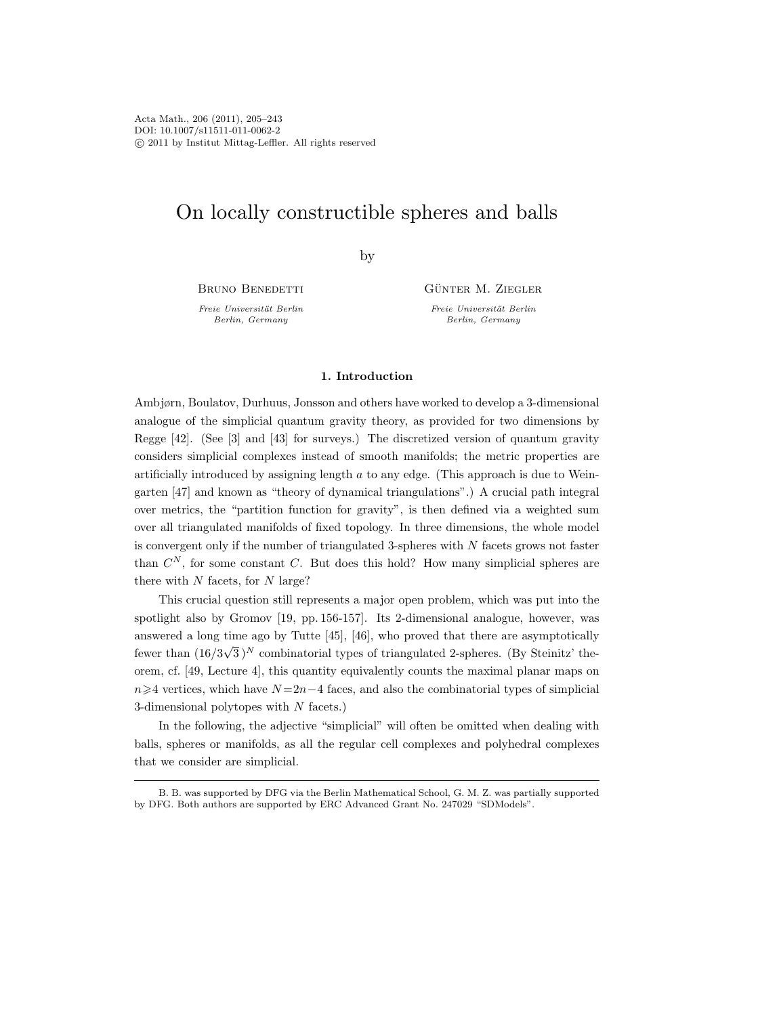# On locally constructible spheres and balls

by

BRUNO BENEDETTI

Freie Universität Berlin Berlin, Germany

GÜNTER M. ZIEGLER

Freie Universität Berlin Berlin, Germany

# 1. Introduction

Ambjørn, Boulatov, Durhuus, Jonsson and others have worked to develop a 3-dimensional analogue of the simplicial quantum gravity theory, as provided for two dimensions by Regge [42]. (See [3] and [43] for surveys.) The discretized version of quantum gravity considers simplicial complexes instead of smooth manifolds; the metric properties are artificially introduced by assigning length  $a$  to any edge. (This approach is due to Weingarten [47] and known as "theory of dynamical triangulations".) A crucial path integral over metrics, the "partition function for gravity", is then defined via a weighted sum over all triangulated manifolds of fixed topology. In three dimensions, the whole model is convergent only if the number of triangulated 3-spheres with  $N$  facets grows not faster than  $C^N$ , for some constant C. But does this hold? How many simplicial spheres are there with  $N$  facets, for  $N$  large?

This crucial question still represents a major open problem, which was put into the spotlight also by Gromov [19, pp. 156-157]. Its 2-dimensional analogue, however, was answered a long time ago by Tutte [45], [46], who proved that there are asymptotically fewer than (16/3  $\sqrt{3}$ <sup>N</sup> combinatorial types of triangulated 2-spheres. (By Steinitz' theorem, cf. [49, Lecture 4], this quantity equivalently counts the maximal planar maps on  $n\geq 4$  vertices, which have  $N=2n-4$  faces, and also the combinatorial types of simplicial 3-dimensional polytopes with N facets.)

In the following, the adjective "simplicial" will often be omitted when dealing with balls, spheres or manifolds, as all the regular cell complexes and polyhedral complexes that we consider are simplicial.

B. B. was supported by DFG via the Berlin Mathematical School, G. M. Z. was partially supported by DFG. Both authors are supported by ERC Advanced Grant No. 247029 "SDModels".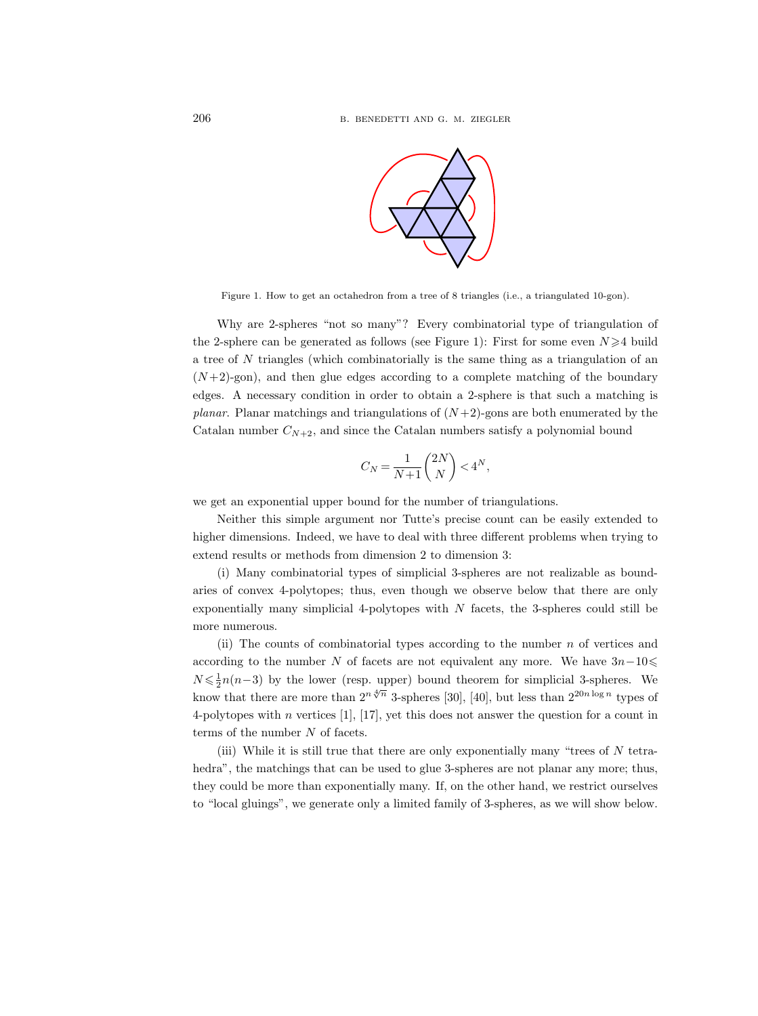

Figure 1. How to get an octahedron from a tree of 8 triangles (i.e., a triangulated 10-gon).

Why are 2-spheres "not so many"? Every combinatorial type of triangulation of the 2-sphere can be generated as follows (see Figure 1): First for some even  $N \geq 4$  build a tree of N triangles (which combinatorially is the same thing as a triangulation of an  $(N+2)$ -gon), and then glue edges according to a complete matching of the boundary edges. A necessary condition in order to obtain a 2-sphere is that such a matching is *planar.* Planar matchings and triangulations of  $(N+2)$ -gons are both enumerated by the Catalan number  $C_{N+2}$ , and since the Catalan numbers satisfy a polynomial bound

$$
C_N = \frac{1}{N+1} \binom{2N}{N} < 4^N,
$$

we get an exponential upper bound for the number of triangulations.

Neither this simple argument nor Tutte's precise count can be easily extended to higher dimensions. Indeed, we have to deal with three different problems when trying to extend results or methods from dimension 2 to dimension 3:

(i) Many combinatorial types of simplicial 3-spheres are not realizable as boundaries of convex 4-polytopes; thus, even though we observe below that there are only exponentially many simplicial 4-polytopes with  $N$  facets, the 3-spheres could still be more numerous.

(ii) The counts of combinatorial types according to the number  $n$  of vertices and according to the number N of facets are not equivalent any more. We have  $3n-10 \leq$  $N \leq \frac{1}{2}n(n-3)$  by the lower (resp. upper) bound theorem for simplicial 3-spheres. We know that there are more than  $2^{n\sqrt[4]{n}}$  3-spheres [30], [40], but less than  $2^{20n\log n}$  types of 4-polytopes with n vertices  $[1]$ ,  $[17]$ , yet this does not answer the question for a count in terms of the number N of facets.

(iii) While it is still true that there are only exponentially many "trees of  $N$  tetrahedra", the matchings that can be used to glue 3-spheres are not planar any more; thus, they could be more than exponentially many. If, on the other hand, we restrict ourselves to "local gluings", we generate only a limited family of 3-spheres, as we will show below.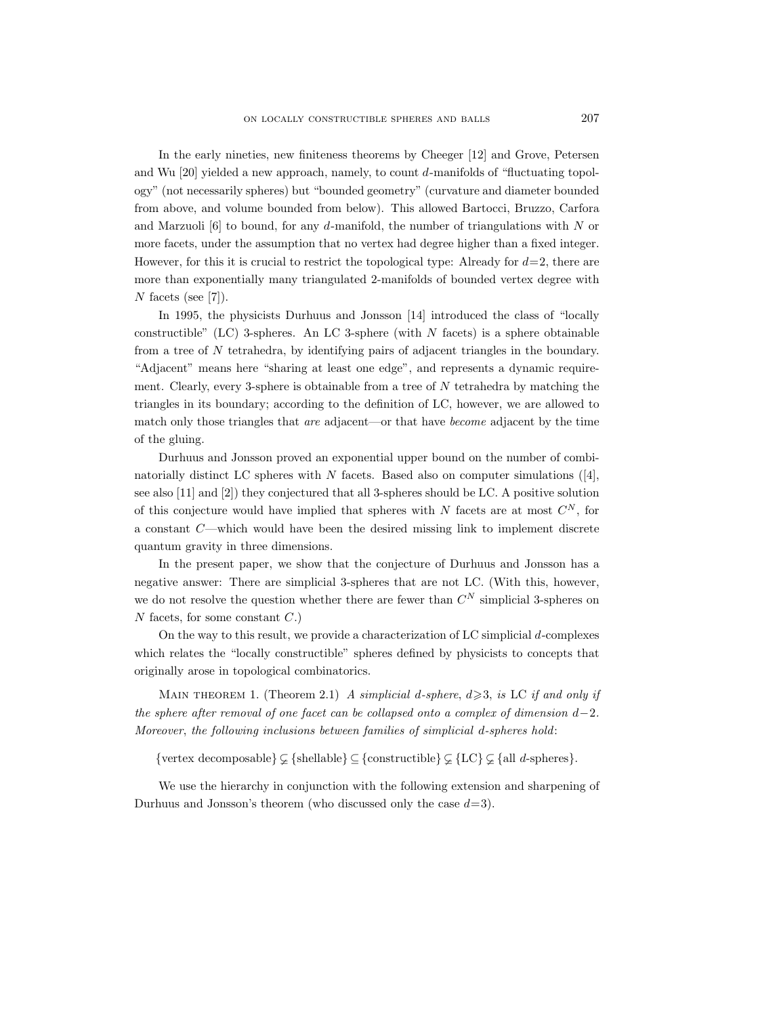In the early nineties, new finiteness theorems by Cheeger [12] and Grove, Petersen and Wu [20] yielded a new approach, namely, to count d-manifolds of "fluctuating topology" (not necessarily spheres) but "bounded geometry" (curvature and diameter bounded from above, and volume bounded from below). This allowed Bartocci, Bruzzo, Carfora and Marzuoli [6] to bound, for any d-manifold, the number of triangulations with  $N$  or more facets, under the assumption that no vertex had degree higher than a fixed integer. However, for this it is crucial to restrict the topological type: Already for  $d=2$ , there are more than exponentially many triangulated 2-manifolds of bounded vertex degree with N facets (see [7]).

In 1995, the physicists Durhuus and Jonsson [14] introduced the class of "locally constructible" (LC) 3-spheres. An LC 3-sphere (with  $N$  facets) is a sphere obtainable from a tree of N tetrahedra, by identifying pairs of adjacent triangles in the boundary. "Adjacent" means here "sharing at least one edge", and represents a dynamic requirement. Clearly, every 3-sphere is obtainable from a tree of  $N$  tetrahedra by matching the triangles in its boundary; according to the definition of LC, however, we are allowed to match only those triangles that are adjacent—or that have become adjacent by the time of the gluing.

Durhuus and Jonsson proved an exponential upper bound on the number of combinatorially distinct LC spheres with  $N$  facets. Based also on computer simulations ([4], see also [11] and [2]) they conjectured that all 3-spheres should be LC. A positive solution of this conjecture would have implied that spheres with N facets are at most  $C^N$ , for a constant C—which would have been the desired missing link to implement discrete quantum gravity in three dimensions.

In the present paper, we show that the conjecture of Durhuus and Jonsson has a negative answer: There are simplicial 3-spheres that are not LC. (With this, however, we do not resolve the question whether there are fewer than  $C^N$  simplicial 3-spheres on  $N$  facets, for some constant  $C$ .)

On the way to this result, we provide a characterization of LC simplicial  $d$ -complexes which relates the "locally constructible" spheres defined by physicists to concepts that originally arose in topological combinatorics.

MAIN THEOREM 1. (Theorem 2.1) A simplicial d-sphere,  $d \geq 3$ , is LC if and only if the sphere after removal of one facet can be collapsed onto a complex of dimension  $d-2$ . Moreover, the following inclusions between families of simplicial d-spheres hold:

{vertex decomposable}  $\subset$  {shellable}  $\subseteq$  {constructible}  $\subset$  {LC}  $\subset$  {all *d*-spheres}.

We use the hierarchy in conjunction with the following extension and sharpening of Durhuus and Jonsson's theorem (who discussed only the case  $d=3$ ).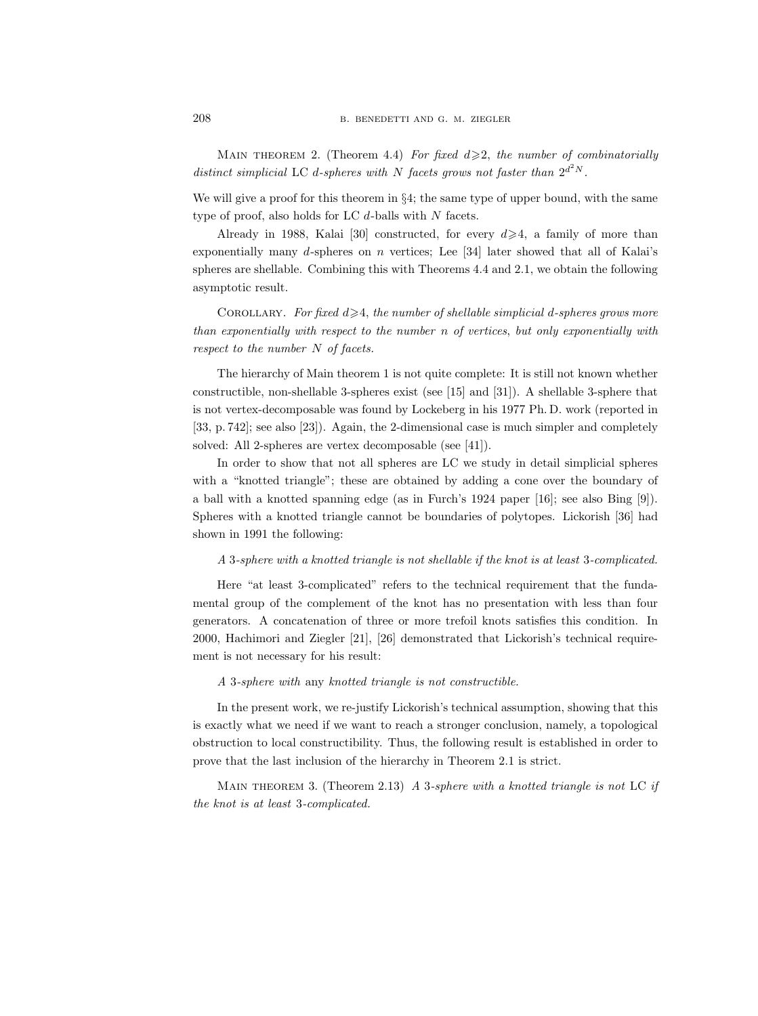MAIN THEOREM 2. (Theorem 4.4) For fixed  $d \geq 2$ , the number of combinatorially distinct simplicial LC d-spheres with N facets grows not faster than  $2^{d^2N}$ .

We will give a proof for this theorem in  $\S 4$ ; the same type of upper bound, with the same type of proof, also holds for LC  $d$ -balls with  $N$  facets.

Already in 1988, Kalai [30] constructed, for every  $d \geq 4$ , a family of more than exponentially many  $d$ -spheres on  $n$  vertices; Lee [34] later showed that all of Kalai's spheres are shellable. Combining this with Theorems 4.4 and 2.1, we obtain the following asymptotic result.

COROLLARY. For fixed  $d \geqslant 4$ , the number of shellable simplicial d-spheres grows more than exponentially with respect to the number n of vertices, but only exponentially with respect to the number N of facets.

The hierarchy of Main theorem 1 is not quite complete: It is still not known whether constructible, non-shellable 3-spheres exist (see [15] and [31]). A shellable 3-sphere that is not vertex-decomposable was found by Lockeberg in his 1977 Ph. D. work (reported in [33, p. 742]; see also [23]). Again, the 2-dimensional case is much simpler and completely solved: All 2-spheres are vertex decomposable (see [41]).

In order to show that not all spheres are LC we study in detail simplicial spheres with a "knotted triangle"; these are obtained by adding a cone over the boundary of a ball with a knotted spanning edge (as in Furch's 1924 paper [16]; see also Bing [9]). Spheres with a knotted triangle cannot be boundaries of polytopes. Lickorish [36] had shown in 1991 the following:

#### A 3-sphere with a knotted triangle is not shellable if the knot is at least 3-complicated.

Here "at least 3-complicated" refers to the technical requirement that the fundamental group of the complement of the knot has no presentation with less than four generators. A concatenation of three or more trefoil knots satisfies this condition. In 2000, Hachimori and Ziegler [21], [26] demonstrated that Lickorish's technical requirement is not necessary for his result:

A 3-sphere with any knotted triangle is not constructible.

In the present work, we re-justify Lickorish's technical assumption, showing that this is exactly what we need if we want to reach a stronger conclusion, namely, a topological obstruction to local constructibility. Thus, the following result is established in order to prove that the last inclusion of the hierarchy in Theorem 2.1 is strict.

MAIN THEOREM 3. (Theorem 2.13) A 3-sphere with a knotted triangle is not LC if the knot is at least 3-complicated.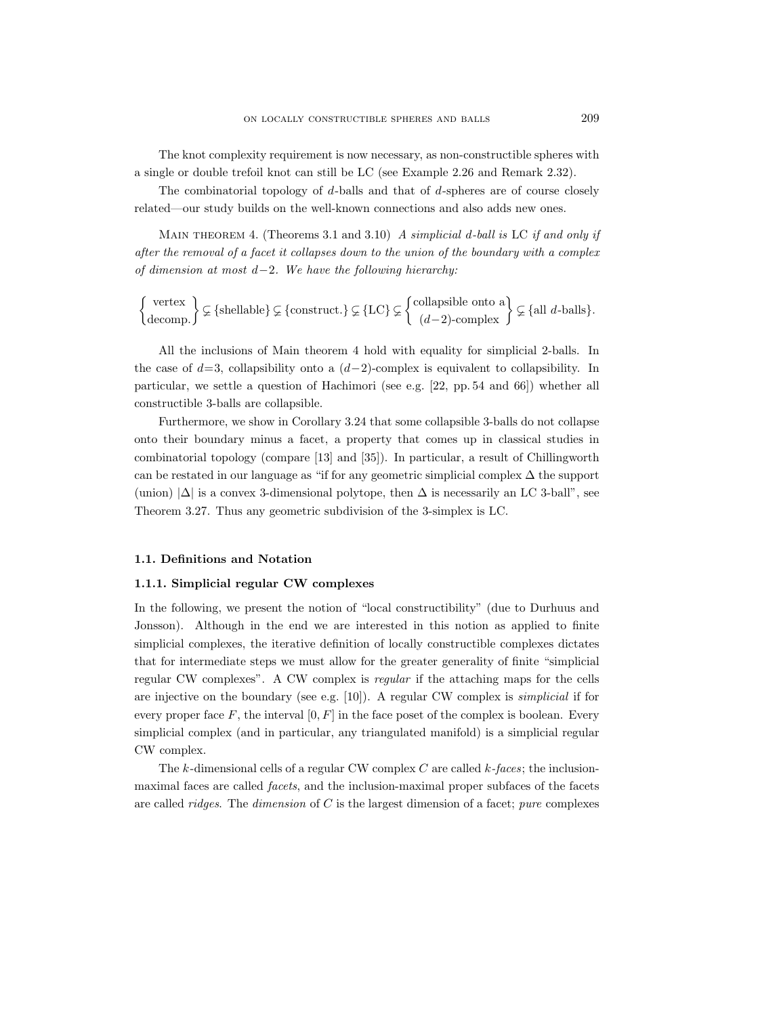The knot complexity requirement is now necessary, as non-constructible spheres with a single or double trefoil knot can still be LC (see Example 2.26 and Remark 2.32).

The combinatorial topology of  $d$ -balls and that of  $d$ -spheres are of course closely related—our study builds on the well-known connections and also adds new ones.

MAIN THEOREM 4. (Theorems 3.1 and 3.10) A simplicial d-ball is LC if and only if after the removal of a facet it collapses down to the union of the boundary with a complex of dimension at most d−2. We have the following hierarchy:

$$
\left\{\begin{array}{c}\text{vertex} \\ \text{decomp.}\end{array}\right\} \subsetneq \{\text{shellable}\}\subsetneq \{\text{construct.}\}\subsetneq \{LC\}\subsetneq \left\{\begin{array}{c}\text{collapsible onto a} \\ (d-2)\text{-complex}\end{array}\right\}\subsetneq \{\text{all } d\text{-balls}\}.
$$

All the inclusions of Main theorem 4 hold with equality for simplicial 2-balls. In the case of  $d=3$ , collapsibility onto a  $(d-2)$ -complex is equivalent to collapsibility. In particular, we settle a question of Hachimori (see e.g. [22, pp. 54 and 66]) whether all constructible 3-balls are collapsible.

Furthermore, we show in Corollary 3.24 that some collapsible 3-balls do not collapse onto their boundary minus a facet, a property that comes up in classical studies in combinatorial topology (compare [13] and [35]). In particular, a result of Chillingworth can be restated in our language as "if for any geometric simplicial complex  $\Delta$  the support (union)  $|\Delta|$  is a convex 3-dimensional polytope, then  $\Delta$  is necessarily an LC 3-ball", see Theorem 3.27. Thus any geometric subdivision of the 3-simplex is LC.

# 1.1. Definitions and Notation

# 1.1.1. Simplicial regular CW complexes

In the following, we present the notion of "local constructibility" (due to Durhuus and Jonsson). Although in the end we are interested in this notion as applied to finite simplicial complexes, the iterative definition of locally constructible complexes dictates that for intermediate steps we must allow for the greater generality of finite "simplicial regular CW complexes". A CW complex is regular if the attaching maps for the cells are injective on the boundary (see e.g. [10]). A regular CW complex is simplicial if for every proper face F, the interval  $[0, F]$  in the face poset of the complex is boolean. Every simplicial complex (and in particular, any triangulated manifold) is a simplicial regular CW complex.

The k-dimensional cells of a regular CW complex  $C$  are called  $k$ -faces; the inclusionmaximal faces are called facets, and the inclusion-maximal proper subfaces of the facets are called *ridges*. The *dimension* of  $C$  is the largest dimension of a facet; *pure* complexes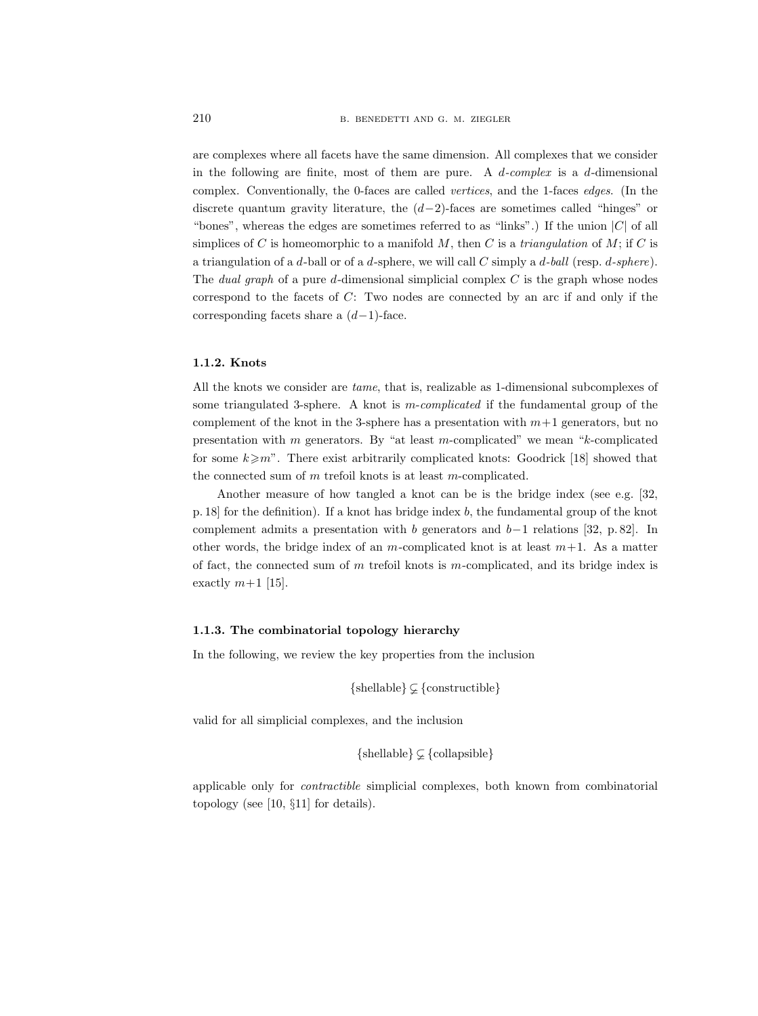are complexes where all facets have the same dimension. All complexes that we consider in the following are finite, most of them are pure. A  $d$ -complex is a  $d$ -dimensional complex. Conventionally, the 0-faces are called vertices, and the 1-faces edges. (In the discrete quantum gravity literature, the  $(d-2)$ -faces are sometimes called "hinges" or "bones", whereas the edges are sometimes referred to as "links".) If the union  $|C|$  of all simplices of C is homeomorphic to a manifold  $M$ , then C is a triangulation of  $M$ ; if C is a triangulation of a d-ball or of a d-sphere, we will call  $C$  simply a d-ball (resp. d-sphere). The *dual graph* of a pure d-dimensional simplicial complex  $C$  is the graph whose nodes correspond to the facets of C: Two nodes are connected by an arc if and only if the corresponding facets share a  $(d-1)$ -face.

## 1.1.2. Knots

All the knots we consider are tame, that is, realizable as 1-dimensional subcomplexes of some triangulated 3-sphere. A knot is  $m$ -complicated if the fundamental group of the complement of the knot in the 3-sphere has a presentation with  $m+1$  generators, but no presentation with m generators. By "at least m-complicated" we mean " $k$ -complicated" for some  $k \geqslant m$ ". There exist arbitrarily complicated knots: Goodrick [18] showed that the connected sum of m trefoil knots is at least m-complicated.

Another measure of how tangled a knot can be is the bridge index (see e.g. [32, p. 18] for the definition). If a knot has bridge index b, the fundamental group of the knot complement admits a presentation with b generators and b−1 relations [32, p. 82]. In other words, the bridge index of an m-complicated knot is at least  $m+1$ . As a matter of fact, the connected sum of  $m$  trefoil knots is  $m$ -complicated, and its bridge index is exactly  $m+1$  [15].

## 1.1.3. The combinatorial topology hierarchy

In the following, we review the key properties from the inclusion

 $\{shellable\} \subset \{constructible\}$ 

valid for all simplicial complexes, and the inclusion

 $\{shellable\} \subsetneq \{collapsible\}$ 

applicable only for contractible simplicial complexes, both known from combinatorial topology (see [10, §11] for details).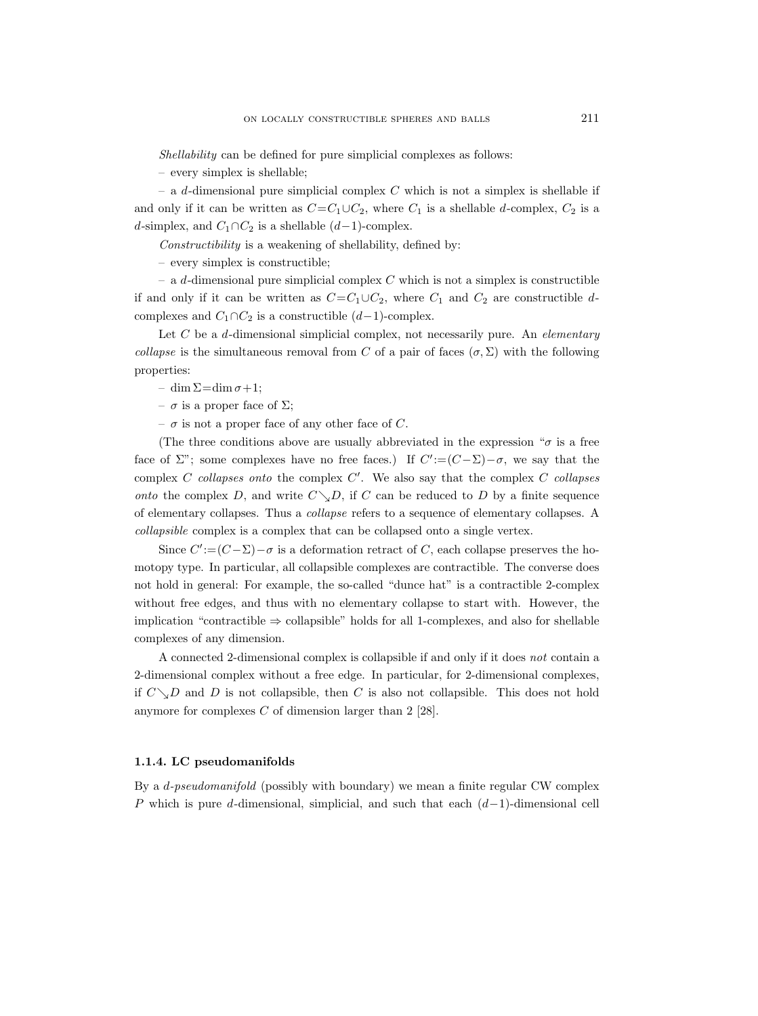Shellability can be defined for pure simplicial complexes as follows:

– every simplex is shellable;

– a d-dimensional pure simplicial complex  $C$  which is not a simplex is shellable if and only if it can be written as  $C=C_1\cup C_2$ , where  $C_1$  is a shellable d-complex,  $C_2$  is a d-simplex, and  $C_1 \cap C_2$  is a shellable  $(d-1)$ -complex.

Constructibility is a weakening of shellability, defined by:

– every simplex is constructible;

 $-$  a d-dimensional pure simplicial complex C which is not a simplex is constructible if and only if it can be written as  $C=C_1\cup C_2$ , where  $C_1$  and  $C_2$  are constructible dcomplexes and  $C_1 \cap C_2$  is a constructible  $(d-1)$ -complex.

Let  $C$  be a  $d$ -dimensional simplicial complex, not necessarily pure. An *elementary* collapse is the simultaneous removal from C of a pair of faces  $(\sigma, \Sigma)$  with the following properties:

– dim  $\Sigma = \dim \sigma + 1;$ 

– σ is a proper face of Σ;

 $- \sigma$  is not a proper face of any other face of C.

(The three conditions above are usually abbreviated in the expression " $\sigma$  is a free face of  $\Sigma$ "; some complexes have no free faces.) If  $C' := (C - \Sigma) - \sigma$ , we say that the complex  $C$  collapses onto the complex  $C'$ . We also say that the complex  $C$  collapses onto the complex D, and write  $C\setminus D$ , if C can be reduced to D by a finite sequence of elementary collapses. Thus a collapse refers to a sequence of elementary collapses. A collapsible complex is a complex that can be collapsed onto a single vertex.

Since  $C' := (C - \Sigma) - \sigma$  is a deformation retract of C, each collapse preserves the homotopy type. In particular, all collapsible complexes are contractible. The converse does not hold in general: For example, the so-called "dunce hat" is a contractible 2-complex without free edges, and thus with no elementary collapse to start with. However, the implication "contractible ⇒ collapsible" holds for all 1-complexes, and also for shellable complexes of any dimension.

A connected 2-dimensional complex is collapsible if and only if it does not contain a 2-dimensional complex without a free edge. In particular, for 2-dimensional complexes, if  $C\_{Delta}D$  and D is not collapsible, then C is also not collapsible. This does not hold anymore for complexes  $C$  of dimension larger than 2 [28].

## 1.1.4. LC pseudomanifolds

By a d-pseudomanifold (possibly with boundary) we mean a finite regular CW complex P which is pure d-dimensional, simplicial, and such that each  $(d-1)$ -dimensional cell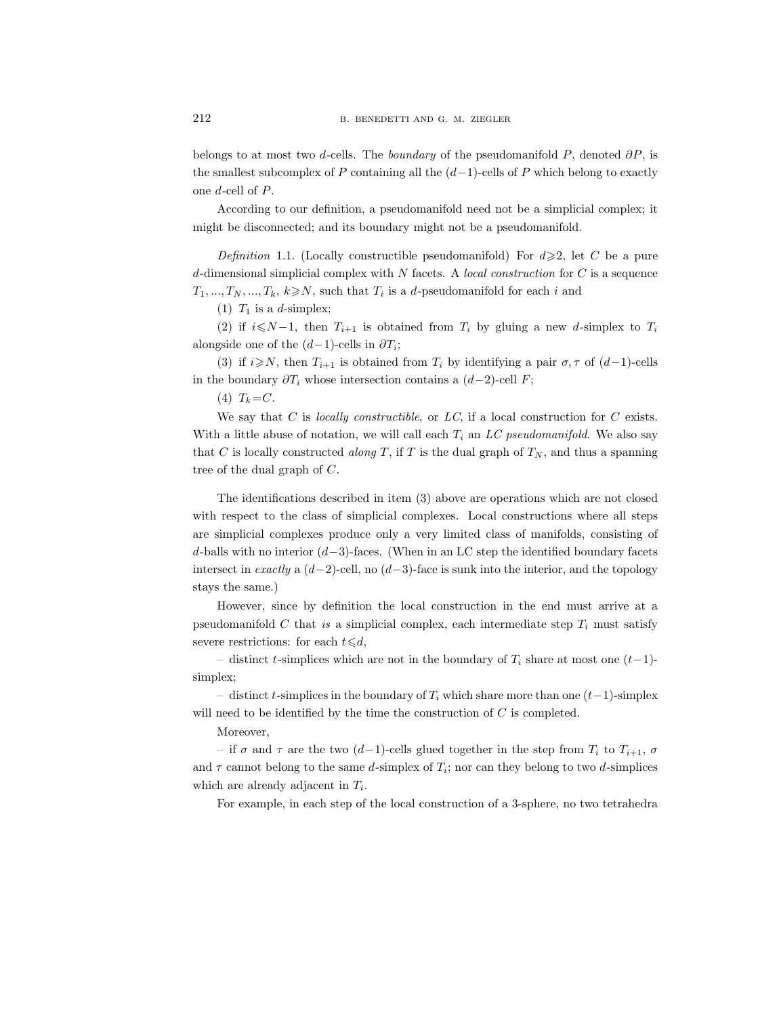belongs to at most two d-cells. The boundary of the pseudomanifold P, denoted  $\partial P$ , is the smallest subcomplex of P containing all the  $(d-1)$ -cells of P which belong to exactly one d-cell of P.

According to our definition, a pseudomanifold need not be a simplicial complex; it might be disconnected; and its boundary might not be a pseudomanifold.

Definition 1.1. (Locally constructible pseudomanifold) For  $d \geq 2$ , let C be a pure d-dimensional simplicial complex with  $N$  facets. A *local construction* for  $C$  is a sequence  $T_1, ..., T_N, ..., T_k, k \geq N$ , such that  $T_i$  is a d-pseudomanifold for each i and

(1)  $T_1$  is a d-simplex;

(2) if  $i\leq N-1$ , then  $T_{i+1}$  is obtained from  $T_i$  by gluing a new d-simplex to  $T_i$ alongside one of the  $(d-1)$ -cells in  $\partial T_i$ ;

(3) if  $i\geq N$ , then  $T_{i+1}$  is obtained from  $T_i$  by identifying a pair  $\sigma, \tau$  of  $(d-1)$ -cells in the boundary  $\partial T_i$  whose intersection contains a  $(d-2)$ -cell F;

(4)  $T_k = C$ .

We say that  $C$  is *locally constructible*, or  $LC$ , if a local construction for  $C$  exists. With a little abuse of notation, we will call each  $T_i$  an LC pseudomanifold. We also say that C is locally constructed along T, if T is the dual graph of  $T_N$ , and thus a spanning tree of the dual graph of C.

The identifications described in item (3) above are operations which are not closed with respect to the class of simplicial complexes. Local constructions where all steps are simplicial complexes produce only a very limited class of manifolds, consisting of d-balls with no interior  $(d-3)$ -faces. (When in an LC step the identified boundary facets intersect in exactly a  $(d-2)$ -cell, no  $(d-3)$ -face is sunk into the interior, and the topology stays the same.)

However, since by definition the local construction in the end must arrive at a pseudomanifold C that is a simplicial complex, each intermediate step  $T_i$  must satisfy severe restrictions: for each  $t \le d$ ,

– distinct t-simplices which are not in the boundary of  $T_i$  share at most one  $(t-1)$ simplex;

– distinct t-simplices in the boundary of  $T_i$  which share more than one  $(t-1)$ -simplex will need to be identified by the time the construction of  $C$  is completed.

Moreover,

– if  $\sigma$  and  $\tau$  are the two  $(d-1)$ -cells glued together in the step from  $T_i$  to  $T_{i+1}$ ,  $\sigma$ and  $\tau$  cannot belong to the same d-simplex of  $T_i$ ; nor can they belong to two d-simplices which are already adjacent in  $T_i$ .

For example, in each step of the local construction of a 3-sphere, no two tetrahedra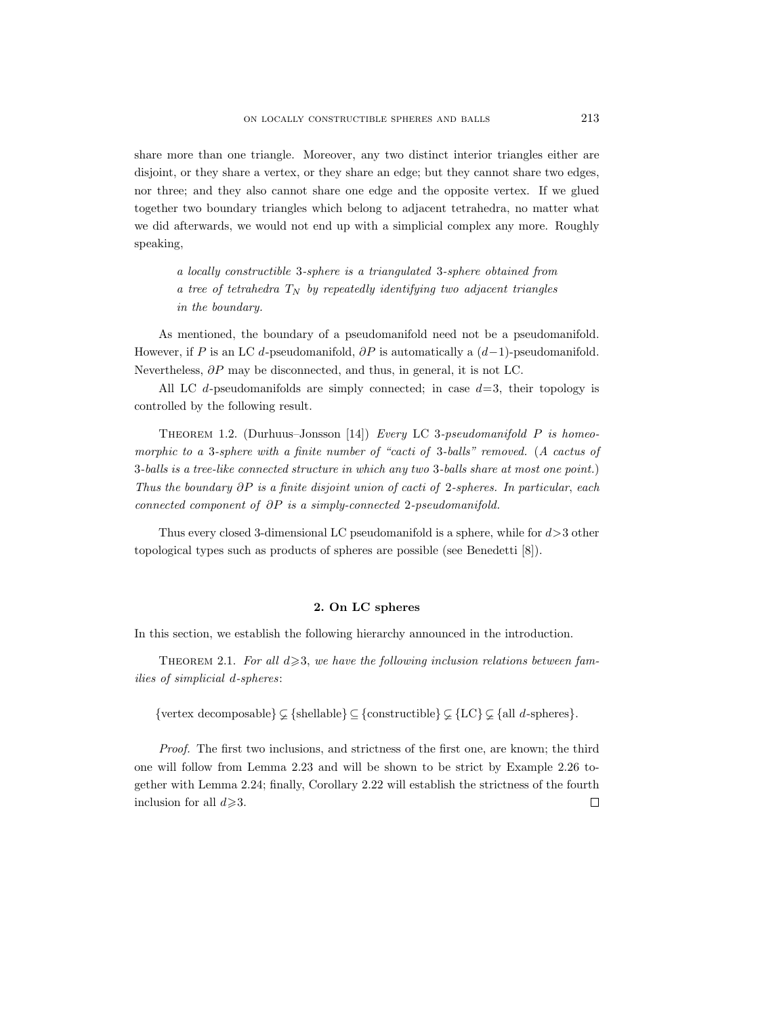share more than one triangle. Moreover, any two distinct interior triangles either are disjoint, or they share a vertex, or they share an edge; but they cannot share two edges, nor three; and they also cannot share one edge and the opposite vertex. If we glued together two boundary triangles which belong to adjacent tetrahedra, no matter what we did afterwards, we would not end up with a simplicial complex any more. Roughly speaking,

a locally constructible 3-sphere is a triangulated 3-sphere obtained from a tree of tetrahedra  $T_N$  by repeatedly identifying two adjacent triangles in the boundary.

As mentioned, the boundary of a pseudomanifold need not be a pseudomanifold. However, if P is an LC d-pseudomanifold,  $\partial P$  is automatically a  $(d-1)$ -pseudomanifold. Nevertheless, ∂P may be disconnected, and thus, in general, it is not LC.

All LC d-pseudomanifolds are simply connected; in case  $d=3$ , their topology is controlled by the following result.

THEOREM 1.2. (Durhuus–Jonsson [14]) Every LC 3-pseudomanifold  $P$  is homeomorphic to a 3-sphere with a finite number of "cacti of 3-balls" removed. (A cactus of 3-balls is a tree-like connected structure in which any two 3-balls share at most one point.) Thus the boundary  $\partial P$  is a finite disjoint union of cacti of 2-spheres. In particular, each connected component of ∂P is a simply-connected 2-pseudomanifold.

Thus every closed 3-dimensional LC pseudomanifold is a sphere, while for d>3 other topological types such as products of spheres are possible (see Benedetti [8]).

## 2. On LC spheres

In this section, we establish the following hierarchy announced in the introduction.

THEOREM 2.1. For all  $d \geqslant 3$ , we have the following inclusion relations between families of simplicial d-spheres:

{vertex decomposable}  $\subset$  {shellable}  $\subset$  {constructible}  $\subset$  {LC}  $\subset$  {all *d*-spheres}.

Proof. The first two inclusions, and strictness of the first one, are known; the third one will follow from Lemma 2.23 and will be shown to be strict by Example 2.26 together with Lemma 2.24; finally, Corollary 2.22 will establish the strictness of the fourth inclusion for all  $d \geq 3$ .  $\Box$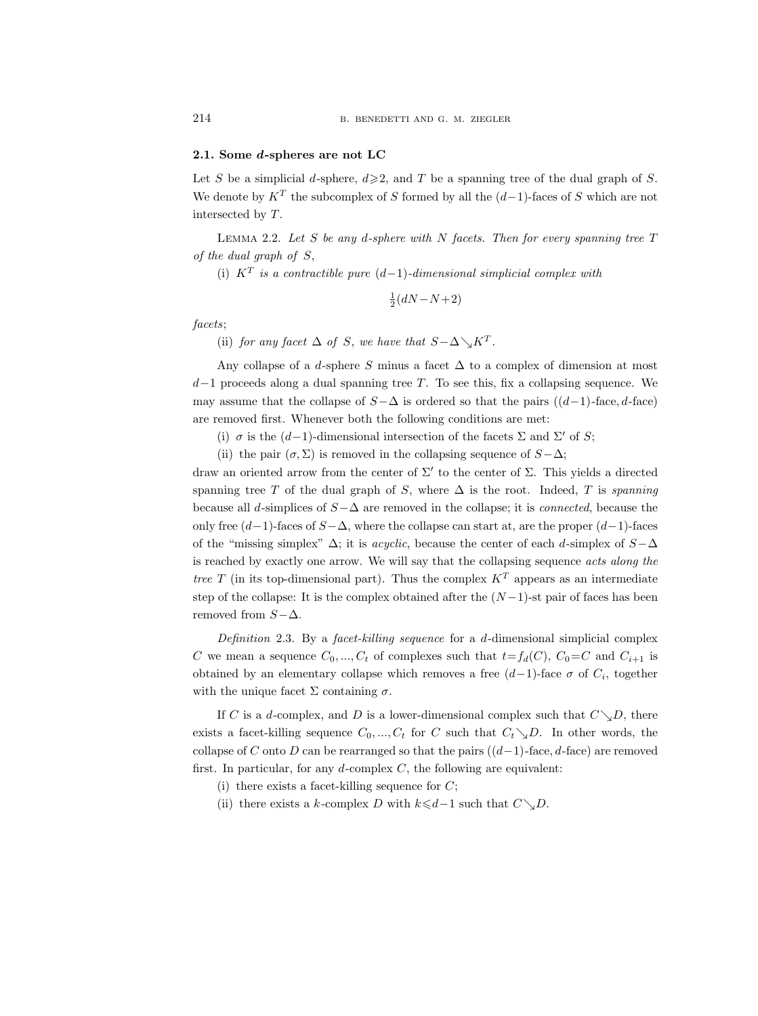#### 2.1. Some d-spheres are not LC

Let S be a simplicial d-sphere,  $d \geq 2$ , and T be a spanning tree of the dual graph of S. We denote by  $K^T$  the subcomplex of S formed by all the  $(d-1)$ -faces of S which are not intersected by T.

LEMMA 2.2. Let S be any d-sphere with N facets. Then for every spanning tree  $T$ of the dual graph of S,

(i)  $K^T$  is a contractible pure  $(d-1)$ -dimensional simplicial complex with

$$
\frac{1}{2}(dN - N + 2)
$$

facets;

(ii) for any facet  $\Delta$  of S, we have that  $S - \Delta \searrow K^T$ .

Any collapse of a d-sphere S minus a facet  $\Delta$  to a complex of dimension at most  $d-1$  proceeds along a dual spanning tree T. To see this, fix a collapsing sequence. We may assume that the collapse of  $S-\Delta$  is ordered so that the pairs  $((d-1)$ -face, d-face) are removed first. Whenever both the following conditions are met:

(i)  $\sigma$  is the (d-1)-dimensional intersection of the facets  $\Sigma$  and  $\Sigma'$  of S;

(ii) the pair  $(\sigma, \Sigma)$  is removed in the collapsing sequence of  $S-\Delta$ ;

draw an oriented arrow from the center of  $\Sigma'$  to the center of  $\Sigma$ . This yields a directed spanning tree T of the dual graph of S, where  $\Delta$  is the root. Indeed, T is spanning because all d-simplices of  $S-\Delta$  are removed in the collapse; it is *connected*, because the only free  $(d-1)$ -faces of  $S-\Delta$ , where the collapse can start at, are the proper  $(d-1)$ -faces of the "missing simplex"  $\Delta$ ; it is *acyclic*, because the center of each d-simplex of  $S-\Delta$ is reached by exactly one arrow. We will say that the collapsing sequence acts along the tree T (in its top-dimensional part). Thus the complex  $K<sup>T</sup>$  appears as an intermediate step of the collapse: It is the complex obtained after the  $(N-1)$ -st pair of faces has been removed from  $S-\Delta$ .

Definition 2.3. By a facet-killing sequence for a d-dimensional simplicial complex C we mean a sequence  $C_0, ..., C_t$  of complexes such that  $t=f_d(C), C_0=C$  and  $C_{i+1}$  is obtained by an elementary collapse which removes a free  $(d-1)$ -face  $\sigma$  of  $C_i$ , together with the unique facet  $\Sigma$  containing  $\sigma$ .

If C is a d-complex, and D is a lower-dimensional complex such that  $C\setminus D$ , there exists a facet-killing sequence  $C_0, ..., C_t$  for C such that  $C_t \searrow D$ . In other words, the collapse of C onto D can be rearranged so that the pairs  $((d-1)$ -face, d-face) are removed first. In particular, for any  $d$ -complex  $C$ , the following are equivalent:

- (i) there exists a facet-killing sequence for  $C$ ;
- (ii) there exists a k-complex D with  $k \le d-1$  such that  $C \setminus D$ .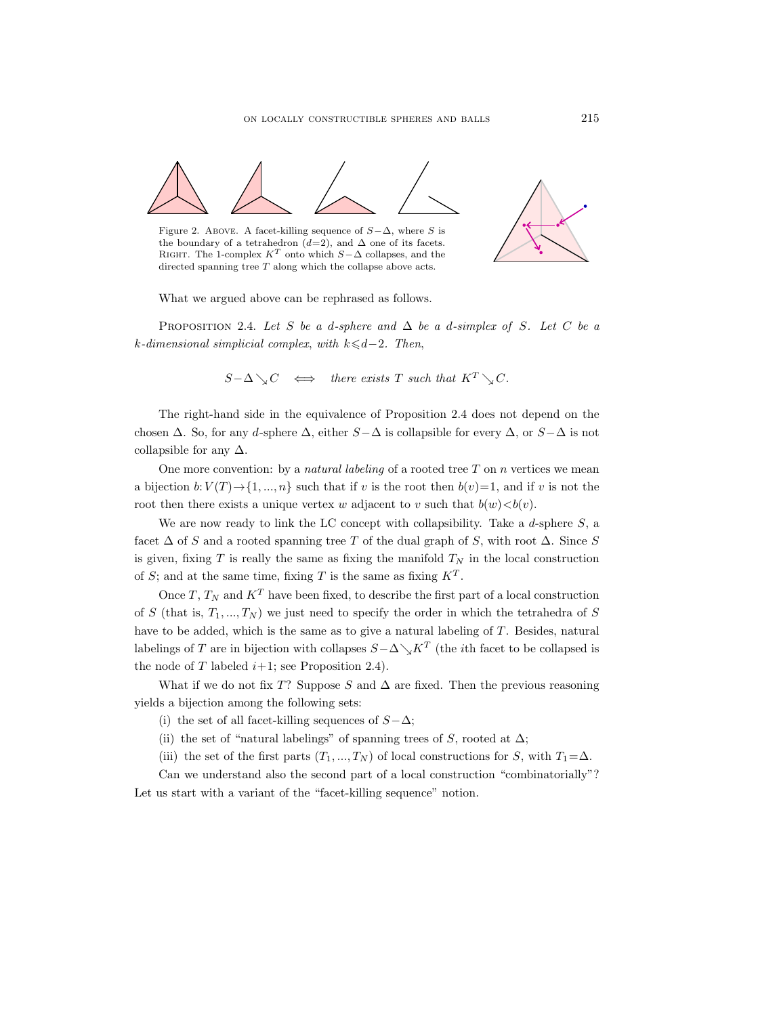

What we argued above can be rephrased as follows.

PROPOSITION 2.4. Let S be a d-sphere and  $\Delta$  be a d-simplex of S. Let C be a k-dimensional simplicial complex, with  $k \leq d-2$ . Then,

$$
S-\Delta \searrow C \iff there exists T such that K^T \searrow C.
$$

The right-hand side in the equivalence of Proposition 2.4 does not depend on the chosen  $\Delta$ . So, for any d-sphere  $\Delta$ , either  $S-\Delta$  is collapsible for every  $\Delta$ , or  $S-\Delta$  is not collapsible for any  $\Delta$ .

One more convention: by a *natural labeling* of a rooted tree  $T$  on  $n$  vertices we mean a bijection  $b: V(T) \to \{1, ..., n\}$  such that if v is the root then  $b(v)=1$ , and if v is not the root then there exists a unique vertex w adjacent to v such that  $b(w) < b(v)$ .

We are now ready to link the LC concept with collapsibility. Take a d-sphere  $S$ , a facet  $\Delta$  of S and a rooted spanning tree T of the dual graph of S, with root  $\Delta$ . Since S is given, fixing T is really the same as fixing the manifold  $T_N$  in the local construction of S; and at the same time, fixing T is the same as fixing  $K^T$ .

Once  $T$ ,  $T_N$  and  $K^T$  have been fixed, to describe the first part of a local construction of S (that is,  $T_1, ..., T_N$ ) we just need to specify the order in which the tetrahedra of S have to be added, which is the same as to give a natural labeling of T. Besides, natural labelings of T are in bijection with collapses  $S-\Delta \searrow K^T$  (the *i*th facet to be collapsed is the node of  $T$  labeled  $i+1$ ; see Proposition 2.4).

What if we do not fix T? Suppose S and  $\Delta$  are fixed. Then the previous reasoning yields a bijection among the following sets:

(i) the set of all facet-killing sequences of  $S-\Delta$ ;

(ii) the set of "natural labelings" of spanning trees of S, rooted at  $\Delta$ ;

(iii) the set of the first parts  $(T_1, ..., T_N)$  of local constructions for S, with  $T_1 = \Delta$ .

Can we understand also the second part of a local construction "combinatorially"? Let us start with a variant of the "facet-killing sequence" notion.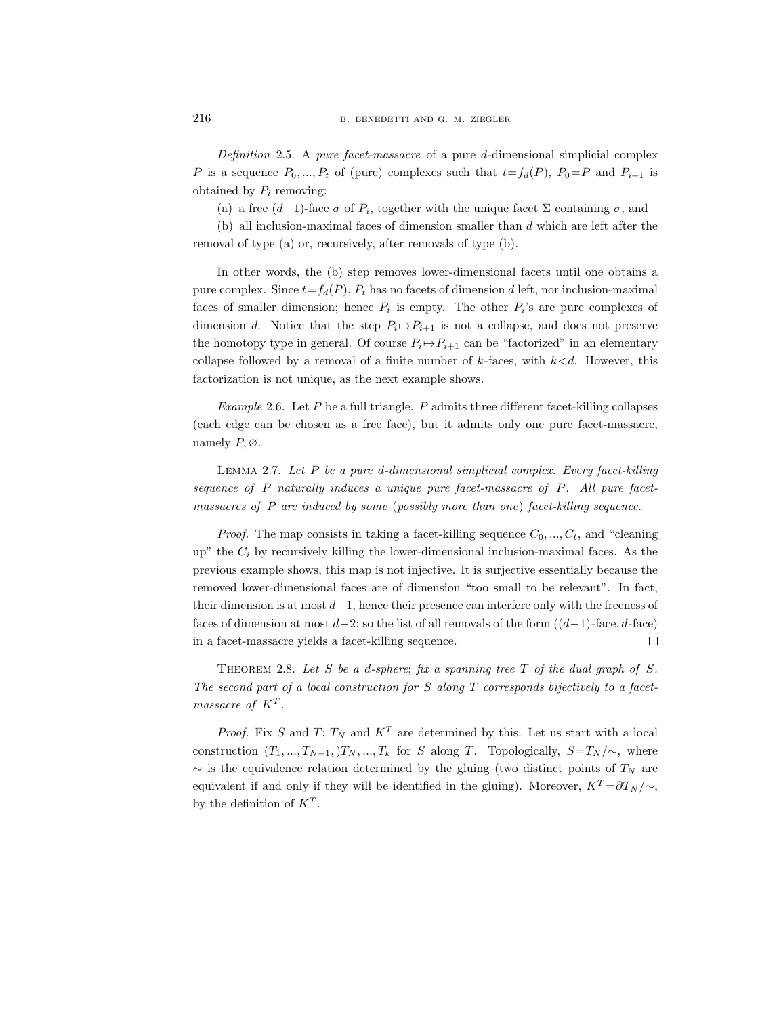Definition 2.5. A pure facet-massacre of a pure d-dimensional simplicial complex P is a sequence  $P_0, ..., P_t$  of (pure) complexes such that  $t=f_d(P), P_0=P$  and  $P_{i+1}$  is obtained by  $P_i$  removing:

(a) a free  $(d-1)$ -face  $\sigma$  of  $P_i$ , together with the unique facet  $\Sigma$  containing  $\sigma$ , and

 $(b)$  all inclusion-maximal faces of dimension smaller than  $d$  which are left after the removal of type (a) or, recursively, after removals of type (b).

In other words, the (b) step removes lower-dimensional facets until one obtains a pure complex. Since  $t=f_d(P)$ ,  $P_t$  has no facets of dimension d left, nor inclusion-maximal faces of smaller dimension; hence  $P_t$  is empty. The other  $P_i$ 's are pure complexes of dimension d. Notice that the step  $P_i \mapsto P_{i+1}$  is not a collapse, and does not preserve the homotopy type in general. Of course  $P_i \mapsto P_{i+1}$  can be "factorized" in an elementary collapse followed by a removal of a finite number of  $k$ -faces, with  $k < d$ . However, this factorization is not unique, as the next example shows.

Example 2.6. Let P be a full triangle. P admits three different facet-killing collapses (each edge can be chosen as a free face), but it admits only one pure facet-massacre, namely  $P, \emptyset$ .

LEMMA 2.7. Let  $P$  be a pure d-dimensional simplicial complex. Every facet-killing sequence of P naturally induces a unique pure facet-massacre of P. All pure facetmassacres of P are induced by some (possibly more than one) facet-killing sequence.

*Proof.* The map consists in taking a facet-killing sequence  $C_0, ..., C_t$ , and "cleaning up" the  $C_i$  by recursively killing the lower-dimensional inclusion-maximal faces. As the previous example shows, this map is not injective. It is surjective essentially because the removed lower-dimensional faces are of dimension "too small to be relevant". In fact, their dimension is at most  $d-1$ , hence their presence can interfere only with the freeness of faces of dimension at most  $d-2$ ; so the list of all removals of the form  $((d-1)$ -face, d-face) in a facet-massacre yields a facet-killing sequence.  $\Box$ 

THEOREM 2.8. Let S be a d-sphere; fix a spanning tree  $T$  of the dual graph of S. The second part of a local construction for S along  $T$  corresponds bijectively to a facetmassacre of  $K^T$ .

*Proof.* Fix S and T;  $T_N$  and  $K^T$  are determined by this. Let us start with a local construction  $(T_1, ..., T_{N-1},)T_N, ..., T_k$  for S along T. Topologically,  $S=T_N/\sim$ , where  $\sim$  is the equivalence relation determined by the gluing (two distinct points of  $T_N$  are equivalent if and only if they will be identified in the gluing). Moreover,  $K^T = \partial T_N / \sim$ , by the definition of  $K^T$ .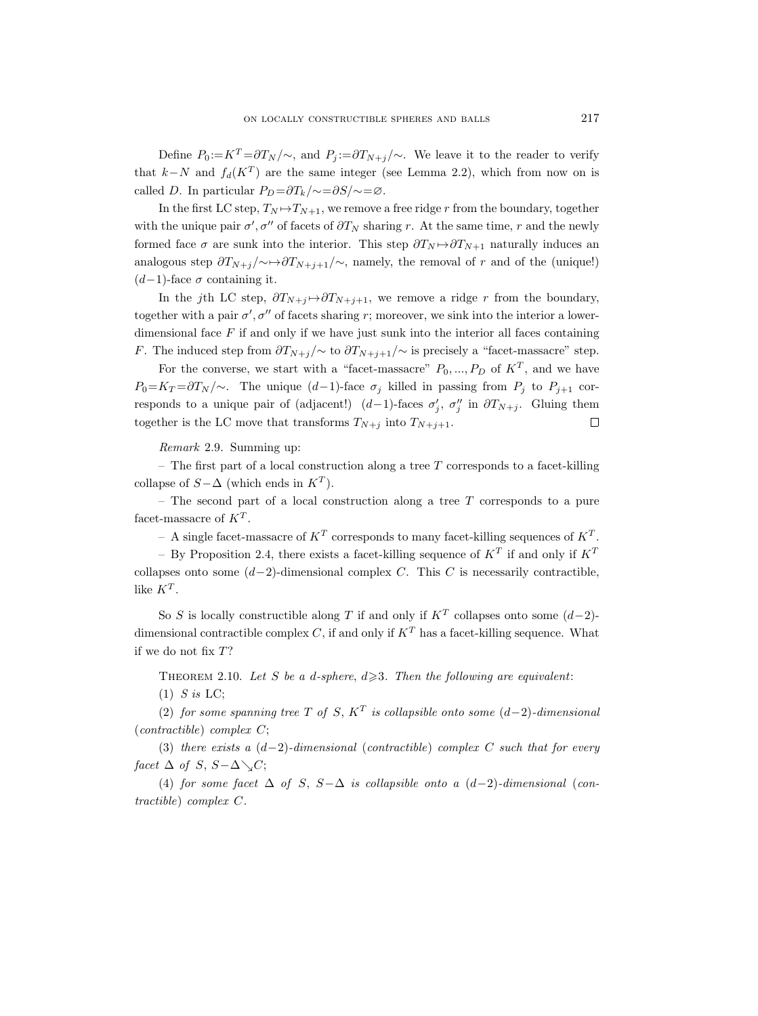Define  $P_0 := K^T = \partial T_N / \sim$ , and  $P_i := \partial T_{N+i}/\sim$ . We leave it to the reader to verify that  $k-N$  and  $f_d(K^T)$  are the same integer (see Lemma 2.2), which from now on is called D. In particular  $P_D = \frac{\partial T_k}{\partial z} = \frac{\partial S}{\partial z}$ .

In the first LC step,  $T_N \mapsto T_{N+1}$ , we remove a free ridge r from the boundary, together with the unique pair  $\sigma', \sigma''$  of facets of  $\partial T_N$  sharing r. At the same time, r and the newly formed face  $\sigma$  are sunk into the interior. This step  $\partial T_N \rightarrow \partial T_{N+1}$  naturally induces an analogous step  $\partial T_{N+j}/\!\!\sim \rightarrow \partial T_{N+j+1}/\!\!\sim$ , namely, the removal of r and of the (unique!)  $(d-1)$ -face  $\sigma$  containing it.

In the jth LC step,  $\partial T_{N+j} \rightarrow \partial T_{N+j+1}$ , we remove a ridge r from the boundary, together with a pair  $\sigma'$ ,  $\sigma''$  of facets sharing r; moreover, we sink into the interior a lowerdimensional face  $F$  if and only if we have just sunk into the interior all faces containing F. The induced step from  $\frac{\partial T_{N+j}}{\partial \alpha}$  to  $\frac{\partial T_{N+j+1}}{\partial \alpha}$  is precisely a "facet-massacre" step.

For the converse, we start with a "facet-massacre"  $P_0, ..., P_D$  of  $K^T$ , and we have  $P_0=K_T=\partial T_N/\sim$ . The unique  $(d-1)$ -face  $\sigma_j$  killed in passing from  $P_j$  to  $P_{j+1}$  corresponds to a unique pair of (adjacent!)  $(d-1)$ -faces  $\sigma'_j$ ,  $\sigma''_j$  in  $\partial T_{N+j}$ . Gluing them together is the LC move that transforms  $T_{N+j}$  into  $T_{N+j+1}$ .  $\Box$ 

Remark 2.9. Summing up:

– The first part of a local construction along a tree  $T$  corresponds to a facet-killing collapse of  $S-\Delta$  (which ends in  $K^T$ ).

– The second part of a local construction along a tree  $T$  corresponds to a pure facet-massacre of  $K^T$ .

- A single facet-massacre of  $K^T$  corresponds to many facet-killing sequences of  $K^T$ .

- By Proposition 2.4, there exists a facet-killing sequence of  $K^T$  if and only if  $K^T$ collapses onto some  $(d-2)$ -dimensional complex C. This C is necessarily contractible, like  $K^T$ .

So S is locally constructible along T if and only if  $K^T$  collapses onto some  $(d-2)$ dimensional contractible complex C, if and only if  $K<sup>T</sup>$  has a facet-killing sequence. What if we do not fix T?

THEOREM 2.10. Let S be a d-sphere,  $d \geq 3$ . Then the following are equivalent:

 $(1)$  S is LC;

(2) for some spanning tree T of S,  $K^T$  is collapsible onto some  $(d-2)$ -dimensional  $(contractible) complex C;$ 

(3) there exists a  $(d-2)$ -dimensional (contractible) complex C such that for every facet  $\Delta$  of S,  $S-\Delta\setminus C$ ;

(4) for some facet  $\Delta$  of S, S- $\Delta$  is collapsible onto a  $(d-2)$ -dimensional (contractible) complex C.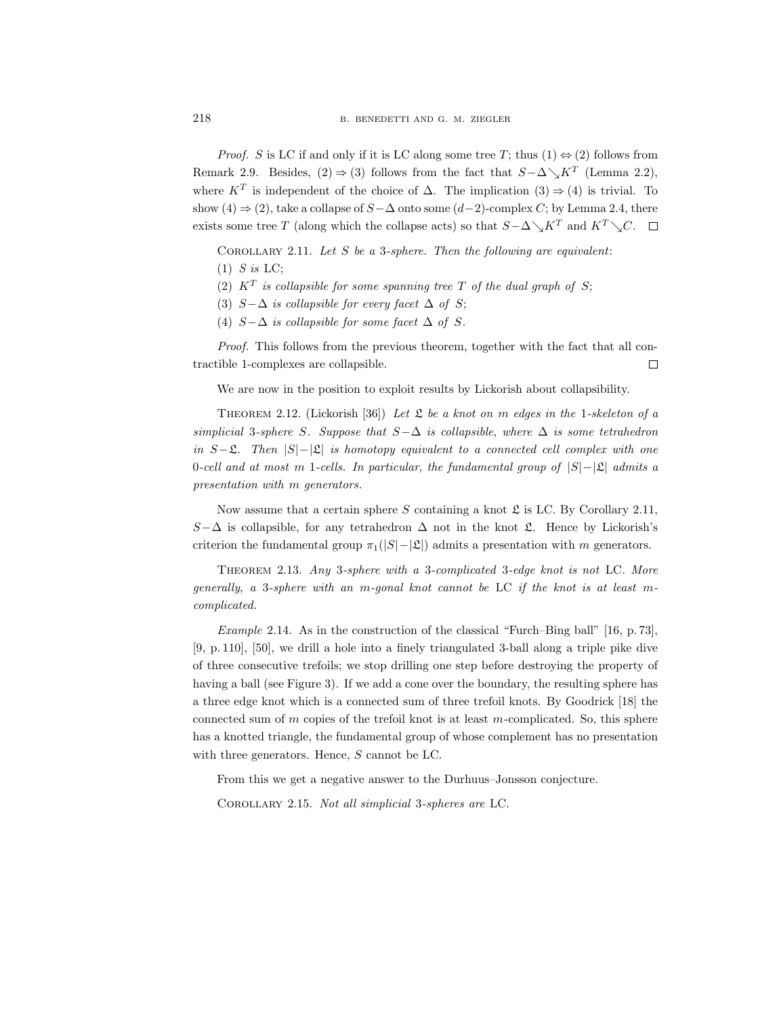*Proof.* S is LC if and only if it is LC along some tree T; thus  $(1) \Leftrightarrow (2)$  follows from Remark 2.9. Besides,  $(2) \Rightarrow (3)$  follows from the fact that  $S - \Delta \searrow K^T$  (Lemma 2.2), where  $K^T$  is independent of the choice of  $\Delta$ . The implication  $(3) \Rightarrow (4)$  is trivial. To show (4)  $\Rightarrow$  (2), take a collapse of S –  $\Delta$  onto some (d–2)-complex C; by Lemma 2.4, there exists some tree T (along which the collapse acts) so that  $S-\Delta\diagdown K^T$  and  $K^T\diagdown C$ .  $\Box$ 

COROLLARY 2.11. Let  $S$  be a 3-sphere. Then the following are equivalent:

- (2)  $K^T$  is collapsible for some spanning tree T of the dual graph of S;
- (3)  $S-\Delta$  is collapsible for every facet  $\Delta$  of S;
- (4)  $S-\Delta$  is collapsible for some facet  $\Delta$  of S.

Proof. This follows from the previous theorem, together with the fact that all contractible 1-complexes are collapsible.  $\Box$ 

We are now in the position to exploit results by Lickorish about collapsibility.

THEOREM 2.12. (Lickorish [36]) Let  $\mathfrak L$  be a knot on m edges in the 1-skeleton of a simplicial 3-sphere S. Suppose that  $S-\Delta$  is collapsible, where  $\Delta$  is some tetrahedron in  $S-\mathfrak{L}$ . Then  $|S|-|\mathfrak{L}|$  is homotopy equivalent to a connected cell complex with one 0-cell and at most m 1-cells. In particular, the fundamental group of  $|S|-|\mathfrak{L}|$  admits a presentation with m generators.

Now assume that a certain sphere S containing a knot  $\mathfrak L$  is LC. By Corollary 2.11, S- $\Delta$  is collapsible, for any tetrahedron  $\Delta$  not in the knot  $\mathfrak{L}$ . Hence by Lickorish's criterion the fundamental group  $\pi_1(|S|-|\mathfrak{L}|)$  admits a presentation with m generators.

Theorem 2.13. Any 3-sphere with a 3-complicated 3-edge knot is not LC. More generally, a 3-sphere with an m-gonal knot cannot be LC if the knot is at least mcomplicated.

*Example 2.14.* As in the construction of the classical "Furch–Bing ball" [16, p. 73]. [9, p. 110], [50], we drill a hole into a finely triangulated 3-ball along a triple pike dive of three consecutive trefoils; we stop drilling one step before destroying the property of having a ball (see Figure 3). If we add a cone over the boundary, the resulting sphere has a three edge knot which is a connected sum of three trefoil knots. By Goodrick [18] the connected sum of  $m$  copies of the trefoil knot is at least  $m$ -complicated. So, this sphere has a knotted triangle, the fundamental group of whose complement has no presentation with three generators. Hence, S cannot be LC.

From this we get a negative answer to the Durhuus–Jonsson conjecture.

Corollary 2.15. Not all simplicial 3-spheres are LC.

 $(1)$  S is LC;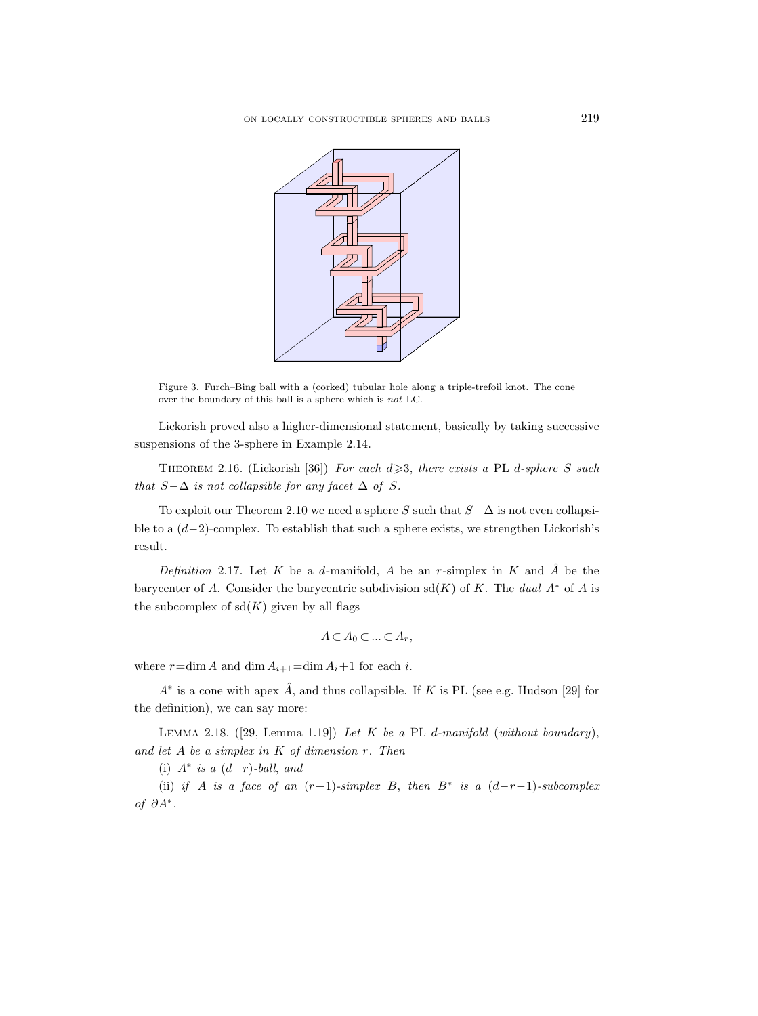

Figure 3. Furch–Bing ball with a (corked) tubular hole along a triple-trefoil knot. The cone over the boundary of this ball is a sphere which is not LC.

Lickorish proved also a higher-dimensional statement, basically by taking successive suspensions of the 3-sphere in Example 2.14.

THEOREM 2.16. (Lickorish [36]) For each  $d \geq 3$ , there exists a PL d-sphere S such that  $S-\Delta$  is not collapsible for any facet  $\Delta$  of S.

To exploit our Theorem 2.10 we need a sphere S such that  $S-\Delta$  is not even collapsible to a  $(d-2)$ -complex. To establish that such a sphere exists, we strengthen Lickorish's result.

Definition 2.17. Let K be a d-manifold, A be an r-simplex in K and  $\hat{A}$  be the barycenter of A. Consider the barycentric subdivision  $sd(K)$  of K. The dual  $A^*$  of A is the subcomplex of  $sd(K)$  given by all flags

$$
A\subset A_0\subset\ldots\subset A_r,
$$

where  $r = \dim A$  and  $\dim A_{i+1} = \dim A_i + 1$  for each i.

 $A^*$  is a cone with apex  $\hat{A}$ , and thus collapsible. If K is PL (see e.g. Hudson [29] for the definition), we can say more:

LEMMA 2.18.  $([29, \text{ Lemma 1.19}])$  Let K be a PL d-manifold (without boundary), and let  $A$  be a simplex in  $K$  of dimension  $r$ . Then

(i)  $A^*$  is a  $(d-r)$ -ball, and

(ii) if A is a face of an  $(r+1)$ -simplex B, then  $B^*$  is a  $(d-r-1)$ -subcomplex of ∂A<sup>∗</sup> .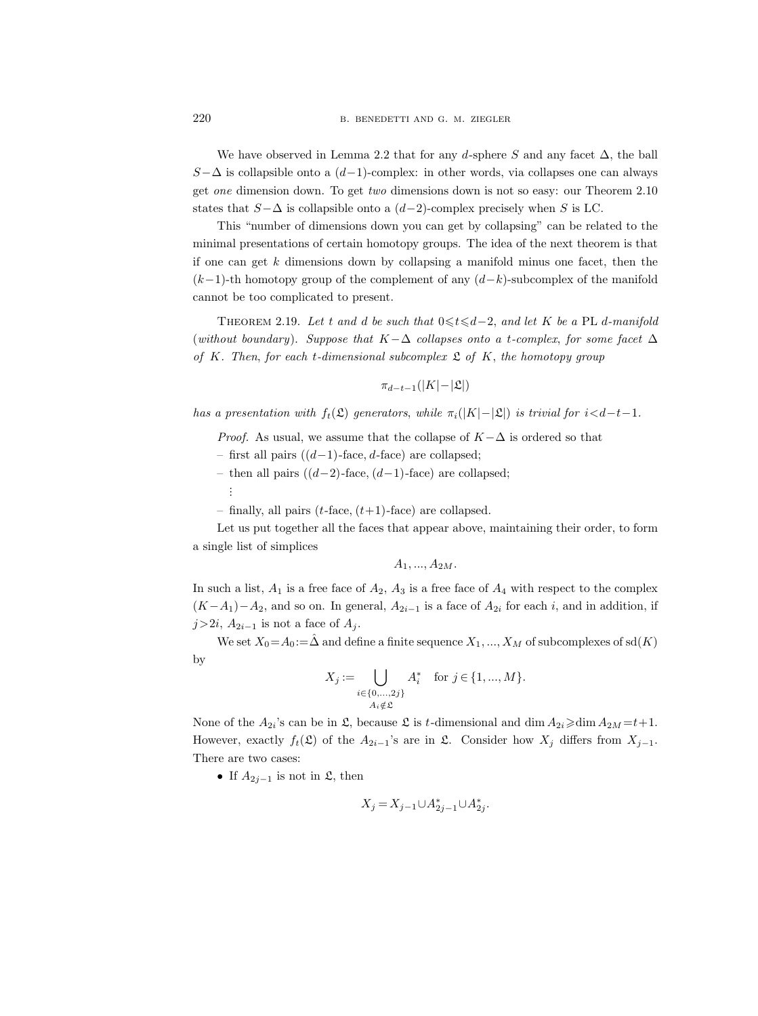We have observed in Lemma 2.2 that for any d-sphere S and any facet  $\Delta$ , the ball  $S-\Delta$  is collapsible onto a  $(d-1)$ -complex: in other words, via collapses one can always get one dimension down. To get two dimensions down is not so easy: our Theorem 2.10 states that  $S-\Delta$  is collapsible onto a  $(d-2)$ -complex precisely when S is LC.

This "number of dimensions down you can get by collapsing" can be related to the minimal presentations of certain homotopy groups. The idea of the next theorem is that if one can get  $k$  dimensions down by collapsing a manifold minus one facet, then the  $(k-1)$ -th homotopy group of the complement of any  $(d-k)$ -subcomplex of the manifold cannot be too complicated to present.

THEOREM 2.19. Let t and d be such that  $0 \le t \le d-2$ , and let K be a PL d-manifold (without boundary). Suppose that  $K-\Delta$  collapses onto a t-complex, for some facet  $\Delta$ of K. Then, for each t-dimensional subcomplex  $\mathfrak L$  of K, the homotopy group

$$
\pi_{d-t-1}(|K| - |\mathfrak{L}|)
$$

has a presentation with  $f_t(\mathfrak{L})$  generators, while  $\pi_i(|K|-|\mathfrak{L}|)$  is trivial for  $i < d-t-1$ .

*Proof.* As usual, we assume that the collapse of  $K-\Delta$  is ordered so that

- first all pairs ((d−1)-face, d-face) are collapsed;
- then all pairs  $((d-2)$ -face,  $(d-1)$ -face) are collapsed;
	- . . .

– finally, all pairs  $(t$ -face,  $(t+1)$ -face) are collapsed.

Let us put together all the faces that appear above, maintaining their order, to form a single list of simplices

 $A_1, ..., A_{2M}$ .

In such a list,  $A_1$  is a free face of  $A_2$ ,  $A_3$  is a free face of  $A_4$  with respect to the complex  $(K-A_1)-A_2$ , and so on. In general,  $A_{2i-1}$  is a face of  $A_{2i}$  for each i, and in addition, if  $j>2i$ ,  $A_{2i-1}$  is not a face of  $A_j$ .

We set  $X_0 = A_0 := \hat{\Delta}$  and define a finite sequence  $X_1, ..., X_M$  of subcomplexes of sd $(K)$ by

$$
X_j := \bigcup_{\substack{i \in \{0,\ldots,2j\} \\ A_i \notin \mathfrak{L}}} A_i^* \quad \text{for } j \in \{1,\ldots,M\}.
$$

None of the  $A_{2i}$ 's can be in  $\mathfrak{L}$ , because  $\mathfrak{L}$  is t-dimensional and dim  $A_{2i} \geqslant \dim A_{2M} = t+1$ . However, exactly  $f_t(\mathfrak{L})$  of the  $A_{2i-1}$ 's are in  $\mathfrak{L}$ . Consider how  $X_j$  differs from  $X_{j-1}$ . There are two cases:

• If  $A_{2j-1}$  is not in  $\mathfrak{L}$ , then

$$
X_j = X_{j-1} \cup A_{2j-1}^* \cup A_{2j}^*.
$$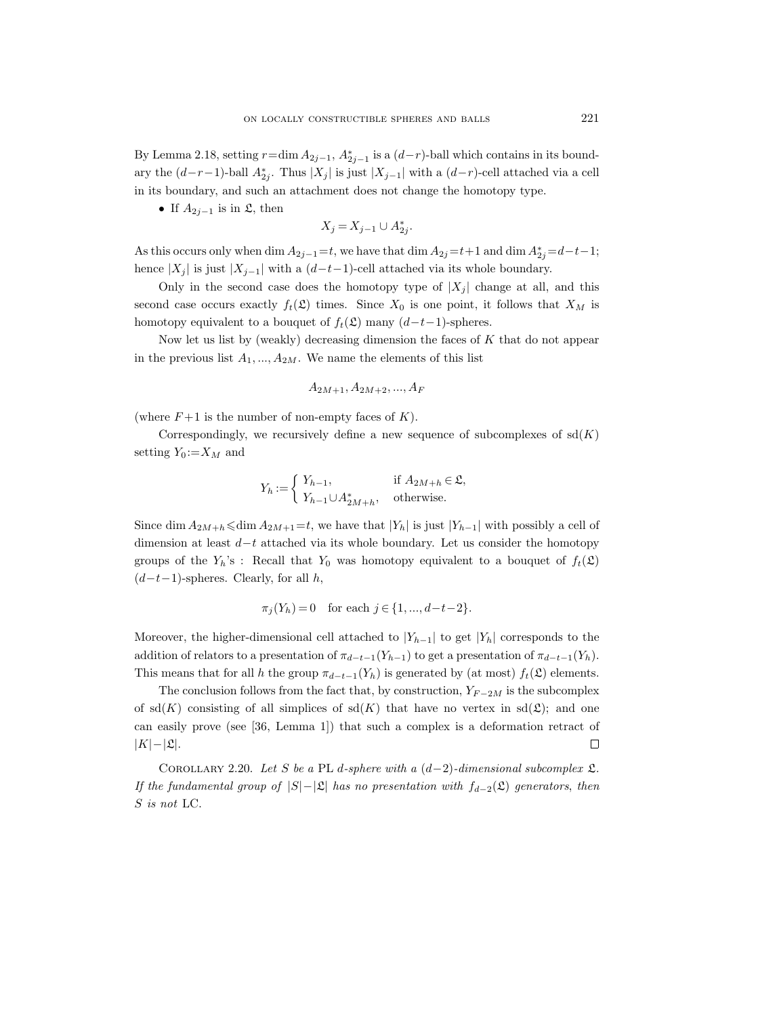By Lemma 2.18, setting  $r = \dim A_{2j-1}$ ,  $A_{2j-1}^*$  is a  $(d-r)$ -ball which contains in its boundary the  $(d-r-1)$ -ball  $A_{2j}^*$ . Thus  $|X_j|$  is just  $|X_{j-1}|$  with a  $(d-r)$ -cell attached via a cell in its boundary, and such an attachment does not change the homotopy type.

• If  $A_{2j-1}$  is in  $\mathfrak{L}$ , then

$$
X_j = X_{j-1} \cup A_{2j}^*.
$$

As this occurs only when dim  $A_{2j-1} = t$ , we have that dim  $A_{2j} = t+1$  and dim  $A_{2j}^* = d-t-1$ ; hence |X<sub>j</sub>| is just |X<sub>j−1</sub>| with a  $(d-t-1)$ -cell attached via its whole boundary.

Only in the second case does the homotopy type of  $|X_j|$  change at all, and this second case occurs exactly  $f_t(\mathfrak{L})$  times. Since  $X_0$  is one point, it follows that  $X_M$  is homotopy equivalent to a bouquet of  $f_t(\mathfrak{L})$  many  $(d-t-1)$ -spheres.

Now let us list by (weakly) decreasing dimension the faces of K that do not appear in the previous list  $A_1, ..., A_{2M}$ . We name the elements of this list

$$
A_{2M+1}, A_{2M+2}, ..., A_F
$$

(where  $F+1$  is the number of non-empty faces of K).

Correspondingly, we recursively define a new sequence of subcomplexes of  $sd(K)$ setting  $Y_0 := X_M$  and

$$
Y_h := \begin{cases} Y_{h-1}, & \text{if } A_{2M+h} \in \mathfrak{L}, \\ Y_{h-1} \cup A_{2M+h}^*, & \text{otherwise.} \end{cases}
$$

Since dim  $A_{2M+h}$  ≤dim  $A_{2M+1}=t$ , we have that  $|Y_h|$  is just  $|Y_{h-1}|$  with possibly a cell of dimension at least d−t attached via its whole boundary. Let us consider the homotopy groups of the  $Y_h$ 's : Recall that  $Y_0$  was homotopy equivalent to a bouquet of  $f_t(\mathfrak{L})$  $(d-t-1)$ -spheres. Clearly, for all h,

$$
\pi_j(Y_h) = 0
$$
 for each  $j \in \{1, ..., d-t-2\}.$ 

Moreover, the higher-dimensional cell attached to  $|Y_{h-1}|$  to get  $|Y_h|$  corresponds to the addition of relators to a presentation of  $\pi_{d-t-1}(Y_{h-1})$  to get a presentation of  $\pi_{d-t-1}(Y_h)$ . This means that for all h the group  $\pi_{d-t-1}(Y_h)$  is generated by (at most)  $f_t(\mathfrak{L})$  elements.

The conclusion follows from the fact that, by construction,  $Y_{F-2M}$  is the subcomplex of sd(K) consisting of all simplices of sd(K) that have no vertex in sd( $\mathfrak{L}$ ); and one can easily prove (see [36, Lemma 1]) that such a complex is a deformation retract of  $|K|-|\mathfrak{L}|.$  $\Box$ 

COROLLARY 2.20. Let S be a PL d-sphere with a  $(d-2)$ -dimensional subcomplex  $\mathfrak{L}$ . If the fundamental group of  $|S|-\mathcal{L}|$  has no presentation with  $f_{d-2}(\mathcal{L})$  generators, then S is not LC.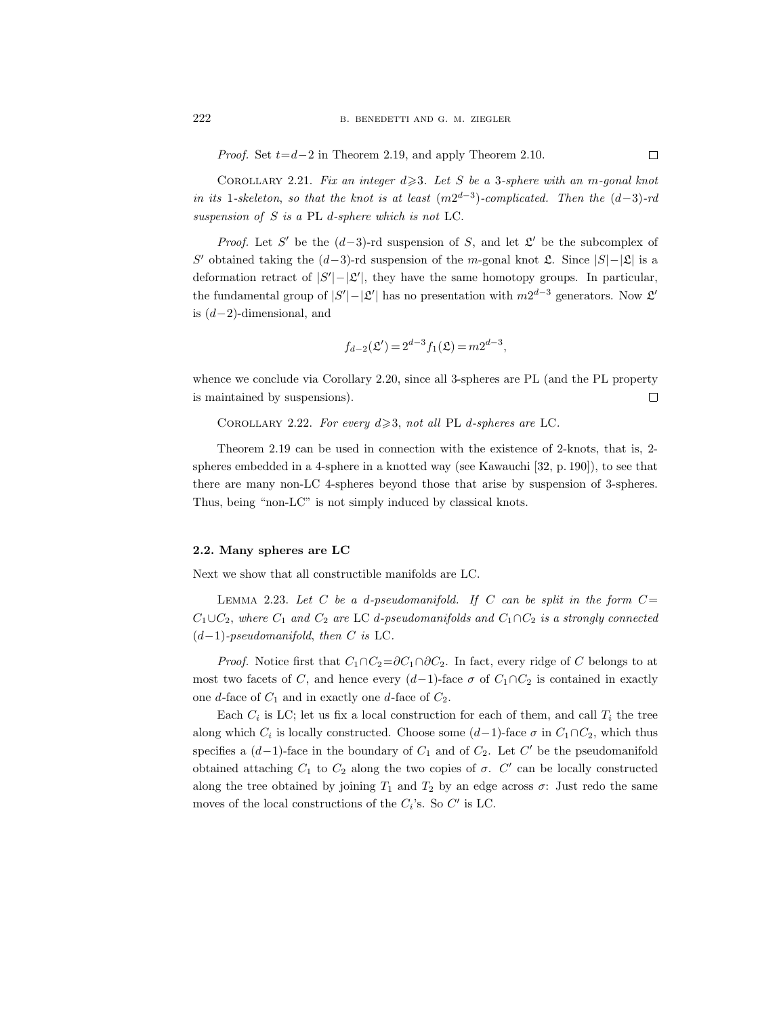*Proof.* Set  $t=d-2$  in Theorem 2.19, and apply Theorem 2.10.

COROLLARY 2.21. Fix an integer  $d \geq 3$ . Let S be a 3-sphere with an m-gonal knot in its 1-skeleton, so that the knot is at least  $(m2^{d-3})$ -complicated. Then the  $(d-3)$ -rd suspension of S is a PL d-sphere which is not LC.

*Proof.* Let S' be the  $(d-3)$ -rd suspension of S, and let  $\mathfrak{L}'$  be the subcomplex of S' obtained taking the  $(d-3)$ -rd suspension of the m-gonal knot  $\mathfrak{L}$ . Since  $|S| - |\mathfrak{L}|$  is a deformation retract of  $|S'|-|\mathcal{L}'|$ , they have the same homotopy groups. In particular, the fundamental group of  $|S'|-|\mathcal{L}'|$  has no presentation with  $m2^{d-3}$  generators. Now  $\mathcal{L}'$ is  $(d-2)$ -dimensional, and

$$
f_{d-2}(\mathfrak{L}') = 2^{d-3} f_1(\mathfrak{L}) = m 2^{d-3},
$$

whence we conclude via Corollary 2.20, since all 3-spheres are PL (and the PL property is maintained by suspensions).  $\Box$ 

COROLLARY 2.22. For every  $d \geq 3$ , not all PL d-spheres are LC.

Theorem 2.19 can be used in connection with the existence of 2-knots, that is, 2 spheres embedded in a 4-sphere in a knotted way (see Kawauchi [32, p. 190]), to see that there are many non-LC 4-spheres beyond those that arise by suspension of 3-spheres. Thus, being "non-LC" is not simply induced by classical knots.

## 2.2. Many spheres are LC

Next we show that all constructible manifolds are LC.

LEMMA 2.23. Let C be a d-pseudomanifold. If C can be split in the form  $C=$  $C_1\cup C_2$ , where  $C_1$  and  $C_2$  are LC d-pseudomanifolds and  $C_1\cap C_2$  is a strongly connected  $(d-1)$ -pseudomanifold, then C is LC.

*Proof.* Notice first that  $C_1 \cap C_2 = \partial C_1 \cap \partial C_2$ . In fact, every ridge of C belongs to at most two facets of C, and hence every  $(d-1)$ -face  $\sigma$  of  $C_1 \cap C_2$  is contained in exactly one d-face of  $C_1$  and in exactly one d-face of  $C_2$ .

Each  $C_i$  is LC; let us fix a local construction for each of them, and call  $T_i$  the tree along which  $C_i$  is locally constructed. Choose some  $(d-1)$ -face  $\sigma$  in  $C_1 \cap C_2$ , which thus specifies a  $(d-1)$ -face in the boundary of  $C_1$  and of  $C_2$ . Let  $C'$  be the pseudomanifold obtained attaching  $C_1$  to  $C_2$  along the two copies of  $\sigma$ .  $C'$  can be locally constructed along the tree obtained by joining  $T_1$  and  $T_2$  by an edge across  $\sigma$ : Just redo the same moves of the local constructions of the  $C_i$ 's. So  $C'$  is LC.

 $\Box$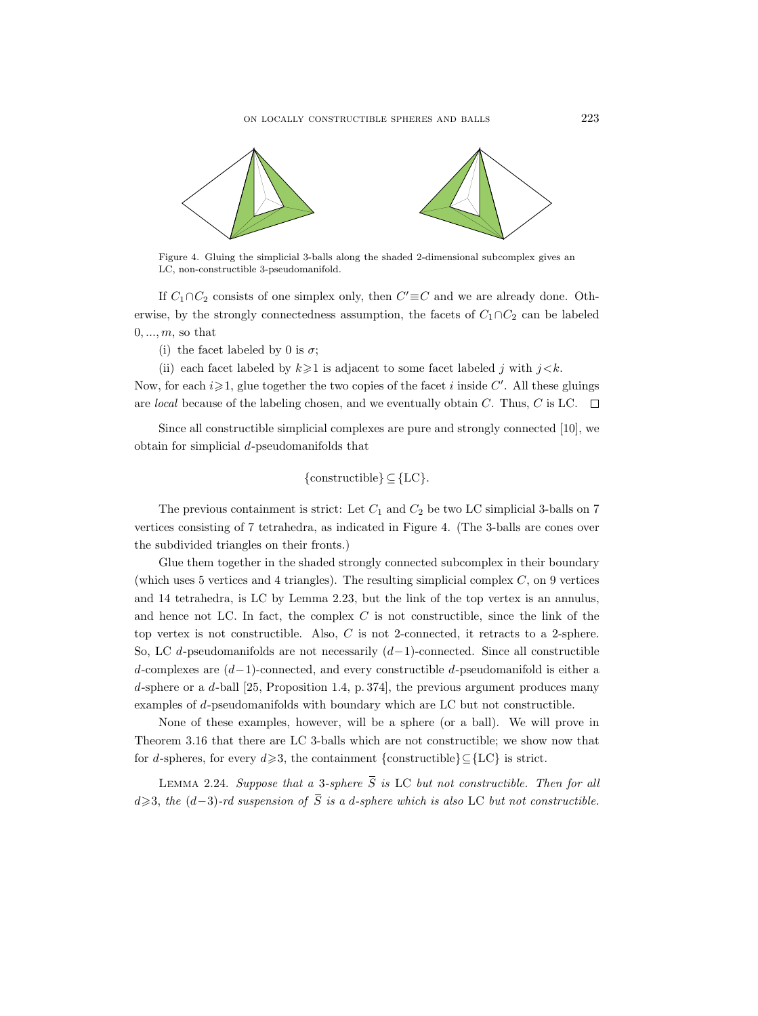

Figure 4. Gluing the simplicial 3-balls along the shaded 2-dimensional subcomplex gives an LC, non-constructible 3-pseudomanifold.

If  $C_1 \cap C_2$  consists of one simplex only, then  $C' \equiv C$  and we are already done. Otherwise, by the strongly connectedness assumption, the facets of  $C_1 \cap C_2$  can be labeled  $0, \ldots, m$ , so that

(i) the facet labeled by 0 is  $\sigma$ ;

(ii) each facet labeled by  $k \geq 1$  is adjacent to some facet labeled j with  $j \lt k$ .

Now, for each  $i \geqslant 1$ , glue together the two copies of the facet i inside C'. All these gluings are local because of the labeling chosen, and we eventually obtain C. Thus, C is LC.  $\Box$ 

Since all constructible simplicial complexes are pure and strongly connected [10], we obtain for simplicial d-pseudomanifolds that

{constructible} 
$$
\subseteq
$$
 {LC}.

The previous containment is strict: Let  $C_1$  and  $C_2$  be two LC simplicial 3-balls on 7 vertices consisting of 7 tetrahedra, as indicated in Figure 4. (The 3-balls are cones over the subdivided triangles on their fronts.)

Glue them together in the shaded strongly connected subcomplex in their boundary (which uses 5 vertices and 4 triangles). The resulting simplicial complex  $C$ , on 9 vertices and 14 tetrahedra, is LC by Lemma 2.23, but the link of the top vertex is an annulus, and hence not LC. In fact, the complex  $C$  is not constructible, since the link of the top vertex is not constructible. Also,  $C$  is not 2-connected, it retracts to a 2-sphere. So, LC d-pseudomanifolds are not necessarily  $(d-1)$ -connected. Since all constructible d-complexes are (d−1)-connected, and every constructible d-pseudomanifold is either a d-sphere or a d-ball [25, Proposition 1.4, p. 374], the previous argument produces many examples of d-pseudomanifolds with boundary which are LC but not constructible. 14 tetrahedra, is LC by Lemma 2.23, but the link of the top vertex is an annulus,<br>hence not LC. In fact, the complex C is not constructible, since the link of the<br>vertex is not constructible. Also, C is not 2-connected, i and hence not LC. In fact, the complex C is not constructible, since the link of the<br>50, LC d-pseudomanifolds are not necessarily (d-1)-connected. Since all constructible<br>4-complexes are (d-1)-connected, and every constr

None of these examples, however, will be a sphere (or a ball). We will prove in Theorem 3.16 that there are LC 3-balls which are not constructible; we show now that for d-spheres, for every  $d \ge 3$ , the containment {constructible} $\subseteq$ {LC} is strict.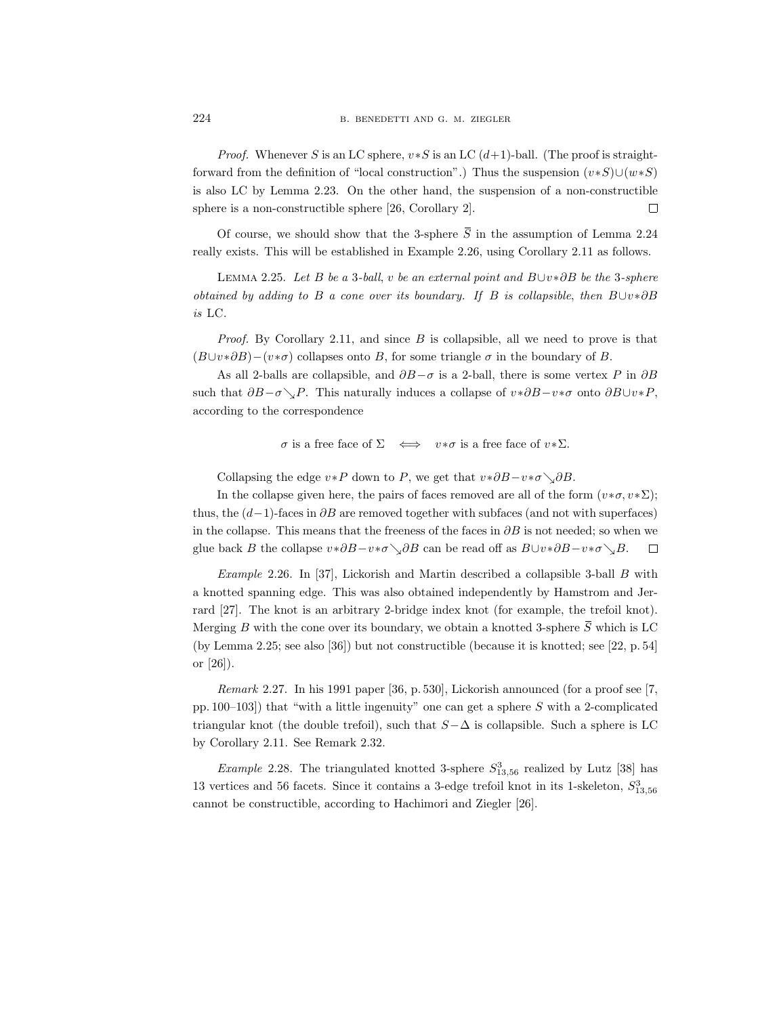*Proof.* Whenever S is an LC sphere,  $v * S$  is an LC  $(d+1)$ -ball. (The proof is straightforward from the definition of "local construction".) Thus the suspension  $(v*S) \cup (w*S)$ is also LC by Lemma 2.23. On the other hand, the suspension of a non-constructible sphere is a non-constructible sphere [26, Corollary 2]. B. BENEDETTI AND G. M. ZIEGLER<br> *Proof.* Whenever S is an LC sphere,  $v*S$  is an LC  $(d+1)$ -ball. (The proof is straight-<br>
and from the definition of "local construction".) Thus the suspension  $(v*S)(w*S)$ <br>
so LC by Lemma 2.23.

really exists. This will be established in Example 2.26, using Corollary 2.11 as follows.

LEMMA 2.25. Let B be a 3-ball, v be an external point and B∪v $* \partial B$  be the 3-sphere obtained by adding to B a cone over its boundary. If B is collapsible, then B∪v∗∂B is LC.

*Proof.* By Corollary 2.11, and since  $B$  is collapsible, all we need to prove is that  $(B\cup v*\partial B)-(v*\sigma)$  collapses onto B, for some triangle  $\sigma$  in the boundary of B.

As all 2-balls are collapsible, and  $\partial B-\sigma$  is a 2-ball, there is some vertex P in  $\partial B$ such that  $\partial B-\sigma\searrow P$ . This naturally induces a collapse of  $v*\partial B-v*\sigma$  onto  $\partial B\cup v*P$ , according to the correspondence

 $\sigma$  is a free face of  $\Sigma \iff v * \sigma$  is a free face of  $v * \Sigma$ .

Collapsing the edge  $v * P$  down to P, we get that  $v * \partial B - v * \sigma \setminus \partial B$ .

In the collapse given here, the pairs of faces removed are all of the form  $(v*\sigma, v*\Sigma)$ ; thus, the  $(d-1)$ -faces in  $\partial B$  are removed together with subfaces (and not with superfaces) in the collapse. This means that the freeness of the faces in  $\partial B$  is not needed; so when we glue back B the collapse  $v * \partial B - v * \sigma \setminus \partial B$  can be read off as  $B \cup v * \partial B - v * \sigma \setminus B$ .

Example 2.26. In [37], Lickorish and Martin described a collapsible 3-ball  $B$  with a knotted spanning edge. This was also obtained independently by Hamstrom and Jerrard [27]. The knot is an arbitrary 2-bridge index knot (for example, the trefoil knot).  $\sigma$  is a free face of  $\Sigma \iff v*\sigma$  is a free face of  $v*\Sigma$ .<br>Collapsing the edge  $v*P$  down to  $P$ , we get that  $v*\partial B - v*\sigma \searrow \partial B$ .<br>In the collapse given here, the pairs of faces removed are all of the form  $(v*\sigma, v*\Sigma)$ ;<br>thus, t (by Lemma 2.25; see also [36]) but not constructible (because it is knotted; see [22, p. 54] or [26]).

Remark 2.27. In his 1991 paper [36, p. 530], Lickorish announced (for a proof see [7, pp. 100–103) that "with a little ingenuity" one can get a sphere  $S$  with a 2-complicated triangular knot (the double trefoil), such that  $S-\Delta$  is collapsible. Such a sphere is LC by Corollary 2.11. See Remark 2.32.

*Example* 2.28. The triangulated knotted 3-sphere  $S_{13,56}^3$  realized by Lutz [38] has 13 vertices and 56 facets. Since it contains a 3-edge trefoil knot in its 1-skeleton,  $S_{13,56}^3$ cannot be constructible, according to Hachimori and Ziegler [26].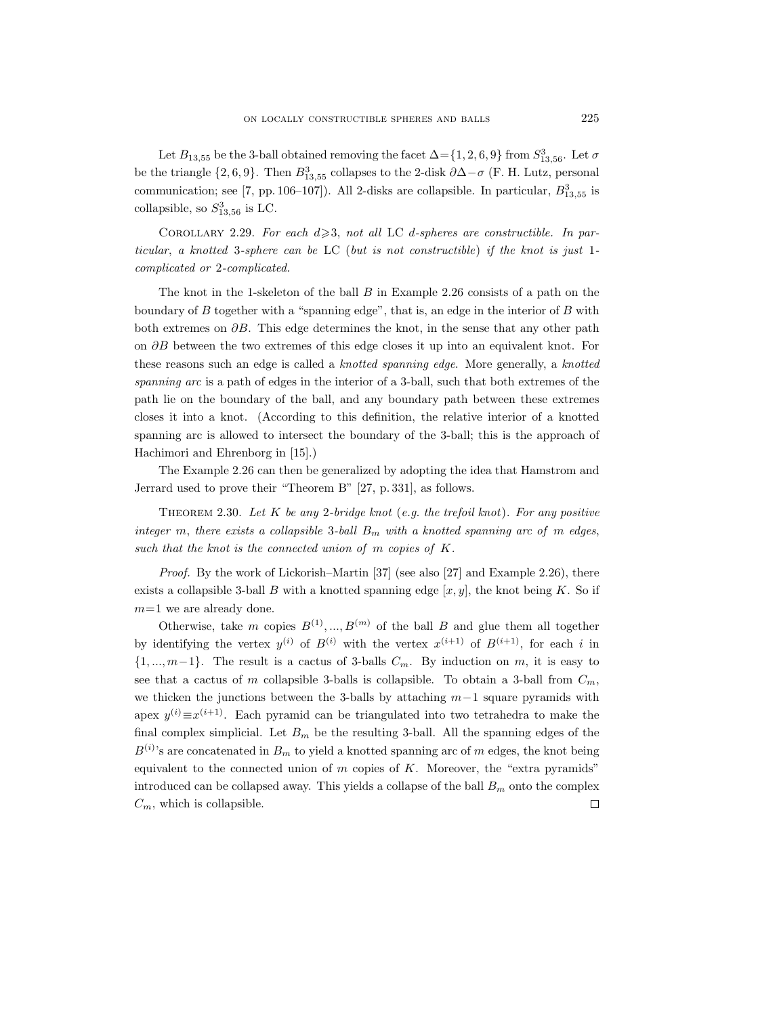Let  $B_{13,55}$  be the 3-ball obtained removing the facet  $\Delta = \{1, 2, 6, 9\}$  from  $S_{13,56}^3$ . Let  $\sigma$ be the triangle  $\{2, 6, 9\}$ . Then  $B_{13,55}^3$  collapses to the 2-disk  $\partial \Delta - \sigma$  (F. H. Lutz, personal communication; see [7, pp. 106–107]). All 2-disks are collapsible. In particular,  $B_{13,55}^3$  is collapsible, so  $S_{13,56}^3$  is LC.

COROLLARY 2.29. For each  $d \geqslant 3$ , not all LC d-spheres are constructible. In particular, a knotted 3-sphere can be LC (but is not constructible) if the knot is just 1 complicated or 2-complicated.

The knot in the 1-skeleton of the ball  $B$  in Example 2.26 consists of a path on the boundary of  $B$  together with a "spanning edge", that is, an edge in the interior of  $B$  with both extremes on  $\partial B$ . This edge determines the knot, in the sense that any other path on ∂B between the two extremes of this edge closes it up into an equivalent knot. For these reasons such an edge is called a *knotted spanning edge*. More generally, a *knotted* spanning arc is a path of edges in the interior of a 3-ball, such that both extremes of the path lie on the boundary of the ball, and any boundary path between these extremes closes it into a knot. (According to this definition, the relative interior of a knotted spanning arc is allowed to intersect the boundary of the 3-ball; this is the approach of Hachimori and Ehrenborg in [15].)

The Example 2.26 can then be generalized by adopting the idea that Hamstrom and Jerrard used to prove their "Theorem B" [27, p. 331], as follows.

THEOREM 2.30. Let K be any 2-bridge knot (e.g. the trefoil knot). For any positive integer m, there exists a collapsible 3-ball  $B_m$  with a knotted spanning arc of m edges, such that the knot is the connected union of m copies of K.

*Proof.* By the work of Lickorish–Martin [37] (see also [27] and Example 2.26), there exists a collapsible 3-ball B with a knotted spanning edge  $[x, y]$ , the knot being K. So if  $m=1$  we are already done.

Otherwise, take m copies  $B^{(1)},...,B^{(m)}$  of the ball B and glue them all together by identifying the vertex  $y^{(i)}$  of  $B^{(i)}$  with the vertex  $x^{(i+1)}$  of  $B^{(i+1)}$ , for each i in  $\{1, ..., m-1\}$ . The result is a cactus of 3-balls  $C_m$ . By induction on m, it is easy to see that a cactus of m collapsible 3-balls is collapsible. To obtain a 3-ball from  $C_m$ , we thicken the junctions between the 3-balls by attaching  $m-1$  square pyramids with apex  $y^{(i)} \equiv x^{(i+1)}$ . Each pyramid can be triangulated into two tetrahedra to make the final complex simplicial. Let  $B_m$  be the resulting 3-ball. All the spanning edges of the  $B^{(i)}$ 's are concatenated in  $B_m$  to yield a knotted spanning arc of m edges, the knot being equivalent to the connected union of  $m$  copies of  $K$ . Moreover, the "extra pyramids" introduced can be collapsed away. This yields a collapse of the ball  $B<sub>m</sub>$  onto the complex  $\Box$  $C_m$ , which is collapsible.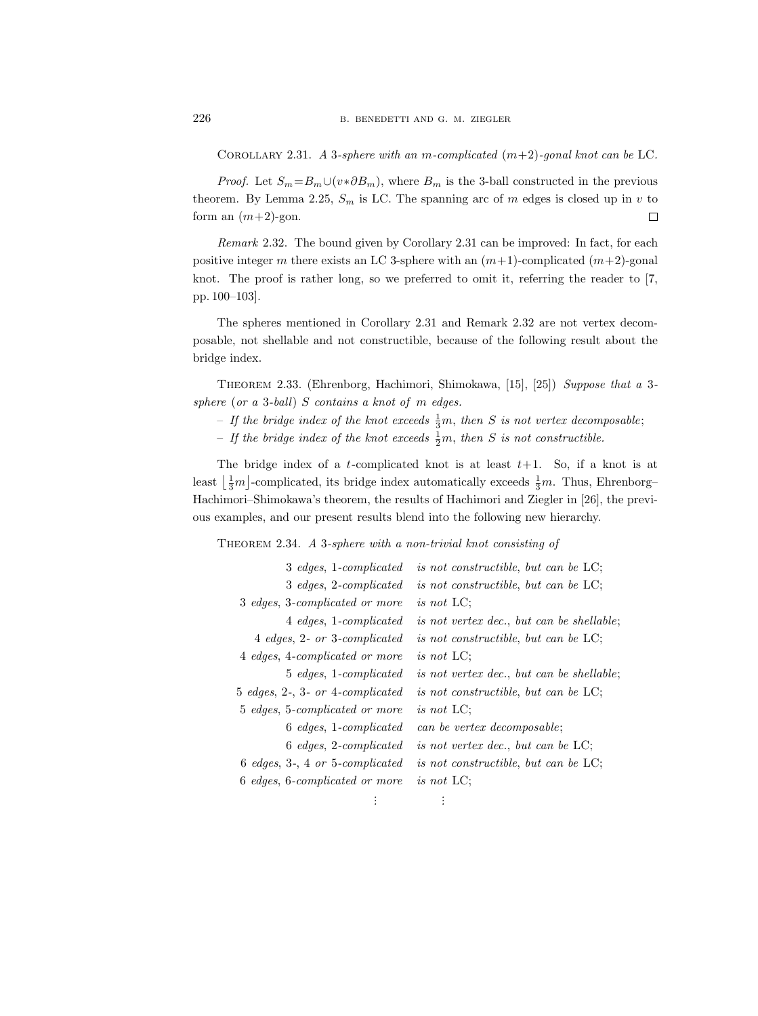COROLLARY 2.31. A 3-sphere with an m-complicated  $(m+2)$ -gonal knot can be LC.

*Proof.* Let  $S_m = B_m \cup (v * \partial B_m)$ , where  $B_m$  is the 3-ball constructed in the previous theorem. By Lemma 2.25,  $S_m$  is LC. The spanning arc of m edges is closed up in v to form an  $(m+2)$ -gon.  $\Box$ 

Remark 2.32. The bound given by Corollary 2.31 can be improved: In fact, for each positive integer m there exists an LC 3-sphere with an  $(m+1)$ -complicated  $(m+2)$ -gonal knot. The proof is rather long, so we preferred to omit it, referring the reader to [7, pp. 100–103].

The spheres mentioned in Corollary 2.31 and Remark 2.32 are not vertex decomposable, not shellable and not constructible, because of the following result about the bridge index.

Theorem 2.33. (Ehrenborg, Hachimori, Shimokawa, [15], [25]) Suppose that a 3 sphere (or a 3-ball) S contains a knot of m edges.

- If the bridge index of the knot exceeds  $\frac{1}{3}m$ , then S is not vertex decomposable;
- If the bridge index of the knot exceeds  $\frac{1}{2}m$ , then S is not constructible.

The bridge index of a t-complicated knot is at least  $t+1$ . So, if a knot is at least  $\left\lfloor \frac{1}{3}m \right\rfloor$ -complicated, its bridge index automatically exceeds  $\frac{1}{3}m$ . Thus, Ehrenborg-Hachimori–Shimokawa's theorem, the results of Hachimori and Ziegler in [26], the previous examples, and our present results blend into the following new hierarchy.

THEOREM 2.34. A 3-sphere with a non-trivial knot consisting of

| 3 edges, 1-complicated                      | is not constructible, but can be LC;             |
|---------------------------------------------|--------------------------------------------------|
| 3 edges, 2-complicated                      | <i>is not constructible, but can be</i> LC;      |
| 3 edges, 3-complicated or more              | <i>is not</i> LC:                                |
| 4 edges, 1-complicated                      | <i>is not vertex dec., but can be shellable;</i> |
| 4 edges, 2- or 3-complicated                | is not constructible, but can be LC;             |
| 4 edges, 4-complicated or more              | is not $LC$ :                                    |
| 5 edges, 1-complicated                      | <i>is not vertex dec., but can be shellable;</i> |
| $5$ edges, $2$ -, $3$ - or $4$ -complicated | <i>is not constructible, but can be</i> LC;      |
| 5 edges, 5-complicated or more              | is not $LC$ :                                    |
| 6 edges, 1-complicated                      | can be vertex decomposable;                      |
| 6 edges, 2-complicated                      | <i>is not vertex dec., but can be</i> LC;        |
| $6$ edges, $3$ -, $4$ or $5$ -complicated   | is not constructible, but can be LC;             |
| 6 edges, 6-complicated or more              | is not $LC$ :                                    |
|                                             |                                                  |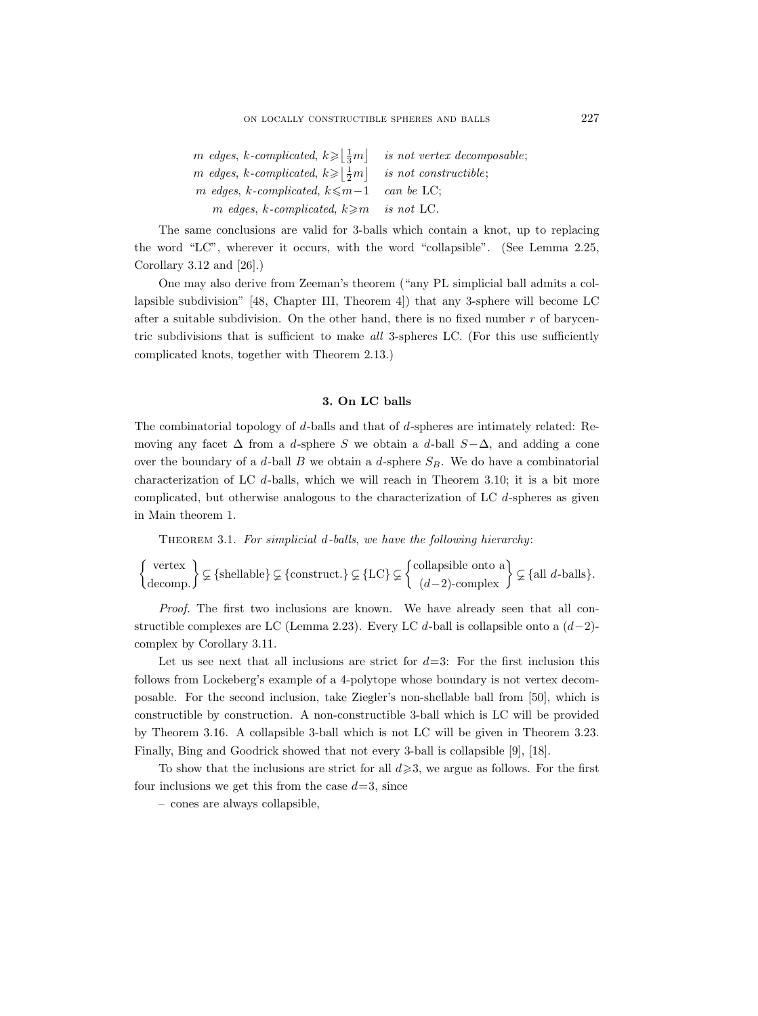| m edges, k-complicated, $k \geqslant \lfloor \frac{1}{3}m \rfloor$ | is not vertex decomposable;   |
|--------------------------------------------------------------------|-------------------------------|
| m edges, k-complicated, $k \geqslant  \frac{1}{2}m $               | <i>is not constructible</i> : |
| m edges, k-complicated, $k \leq m-1$ can be LC;                    |                               |
| m edges, k-complicated, $k \geq m$                                 | is not LC.                    |

The same conclusions are valid for 3-balls which contain a knot, up to replacing the word "LC", wherever it occurs, with the word "collapsible". (See Lemma 2.25, Corollary 3.12 and [26].)

One may also derive from Zeeman's theorem ("any PL simplicial ball admits a collapsible subdivision" [48, Chapter III, Theorem 4]) that any 3-sphere will become LC after a suitable subdivision. On the other hand, there is no fixed number  $r$  of barycentric subdivisions that is sufficient to make all 3-spheres LC. (For this use sufficiently complicated knots, together with Theorem 2.13.)

## 3. On LC balls

The combinatorial topology of d-balls and that of d-spheres are intimately related: Removing any facet  $\Delta$  from a d-sphere S we obtain a d-ball  $S-\Delta$ , and adding a cone over the boundary of a d-ball B we obtain a d-sphere  $S_B$ . We do have a combinatorial characterization of LC  $d$ -balls, which we will reach in Theorem 3.10; it is a bit more complicated, but otherwise analogous to the characterization of LC d-spheres as given in Main theorem 1.

THEOREM 3.1. For simplicial d-balls, we have the following hierarchy:

$$
\left\{\begin{matrix} \text{vertex} \\ \text{decomp.} \end{matrix}\right\} \subsetneq \{\text{shellable}\}\nsubseteq \{\text{construct.}\}\nsubseteq \{\text{LC}\}\nsubseteq \left\{\begin{matrix} \text{collapsible onto a} \\ (d-2)\text{-complex} \end{matrix}\right\}\nsubseteq \{\text{all } d\text{-balls}\}.
$$

Proof. The first two inclusions are known. We have already seen that all constructible complexes are LC (Lemma 2.23). Every LC d-ball is collapsible onto a  $(d-2)$ complex by Corollary 3.11.

Let us see next that all inclusions are strict for  $d=3$ : For the first inclusion this follows from Lockeberg's example of a 4-polytope whose boundary is not vertex decomposable. For the second inclusion, take Ziegler's non-shellable ball from [50], which is constructible by construction. A non-constructible 3-ball which is LC will be provided by Theorem 3.16. A collapsible 3-ball which is not LC will be given in Theorem 3.23. Finally, Bing and Goodrick showed that not every 3-ball is collapsible [9], [18].

To show that the inclusions are strict for all  $d \geqslant 3$ , we argue as follows. For the first four inclusions we get this from the case  $d=3$ , since

– cones are always collapsible,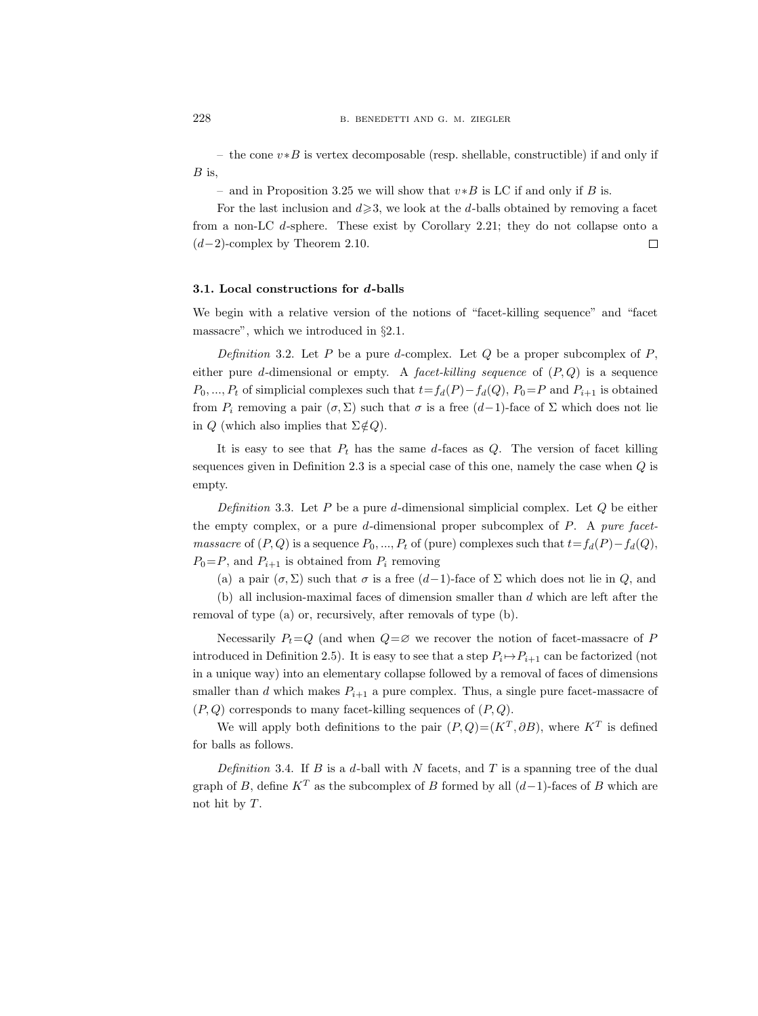– the cone  $v * B$  is vertex decomposable (resp. shellable, constructible) if and only if  $B$  is,

– and in Proposition 3.25 we will show that  $v*B$  is LC if and only if B is.

For the last inclusion and  $d \geqslant 3$ , we look at the d-balls obtained by removing a facet from a non-LC d-sphere. These exist by Corollary 2.21; they do not collapse onto a  $(d-2)$ -complex by Theorem 2.10.  $\Box$ 

#### 3.1. Local constructions for d-balls

We begin with a relative version of the notions of "facet-killing sequence" and "facet massacre", which we introduced in §2.1.

Definition 3.2. Let P be a pure d-complex. Let Q be a proper subcomplex of P, either pure d-dimensional or empty. A *facet-killing sequence* of  $(P, Q)$  is a sequence  $P_0, ..., P_t$  of simplicial complexes such that  $t=f_d(P)-f_d(Q), P_0=P$  and  $P_{i+1}$  is obtained from  $P_i$  removing a pair  $(\sigma, \Sigma)$  such that  $\sigma$  is a free  $(d-1)$ -face of  $\Sigma$  which does not lie in Q (which also implies that  $\Sigma \notin Q$ ).

It is easy to see that  $P_t$  has the same d-faces as  $Q$ . The version of facet killing sequences given in Definition 2.3 is a special case of this one, namely the case when  $Q$  is empty.

Definition 3.3. Let  $P$  be a pure d-dimensional simplicial complex. Let  $Q$  be either the empty complex, or a pure d-dimensional proper subcomplex of  $P$ . A pure facet*massacre* of  $(P, Q)$  is a sequence  $P_0, ..., P_t$  of (pure) complexes such that  $t = f_d(P) - f_d(Q)$ ,  $P_0 = P$ , and  $P_{i+1}$  is obtained from  $P_i$  removing

(a) a pair  $(\sigma, \Sigma)$  such that  $\sigma$  is a free  $(d-1)$ -face of  $\Sigma$  which does not lie in  $Q$ , and

(b) all inclusion-maximal faces of dimension smaller than d which are left after the removal of type (a) or, recursively, after removals of type (b).

Necessarily  $P_t = Q$  (and when  $Q = \emptyset$  we recover the notion of facet-massacre of P introduced in Definition 2.5). It is easy to see that a step  $P_i \rightarrow P_{i+1}$  can be factorized (not in a unique way) into an elementary collapse followed by a removal of faces of dimensions smaller than d which makes  $P_{i+1}$  a pure complex. Thus, a single pure facet-massacre of  $(P, Q)$  corresponds to many facet-killing sequences of  $(P, Q)$ .

We will apply both definitions to the pair  $(P,Q)=(K^T,\partial B)$ , where  $K^T$  is defined for balls as follows.

Definition 3.4. If B is a d-ball with N facets, and T is a spanning tree of the dual graph of B, define  $K^T$  as the subcomplex of B formed by all  $(d-1)$ -faces of B which are not hit by T.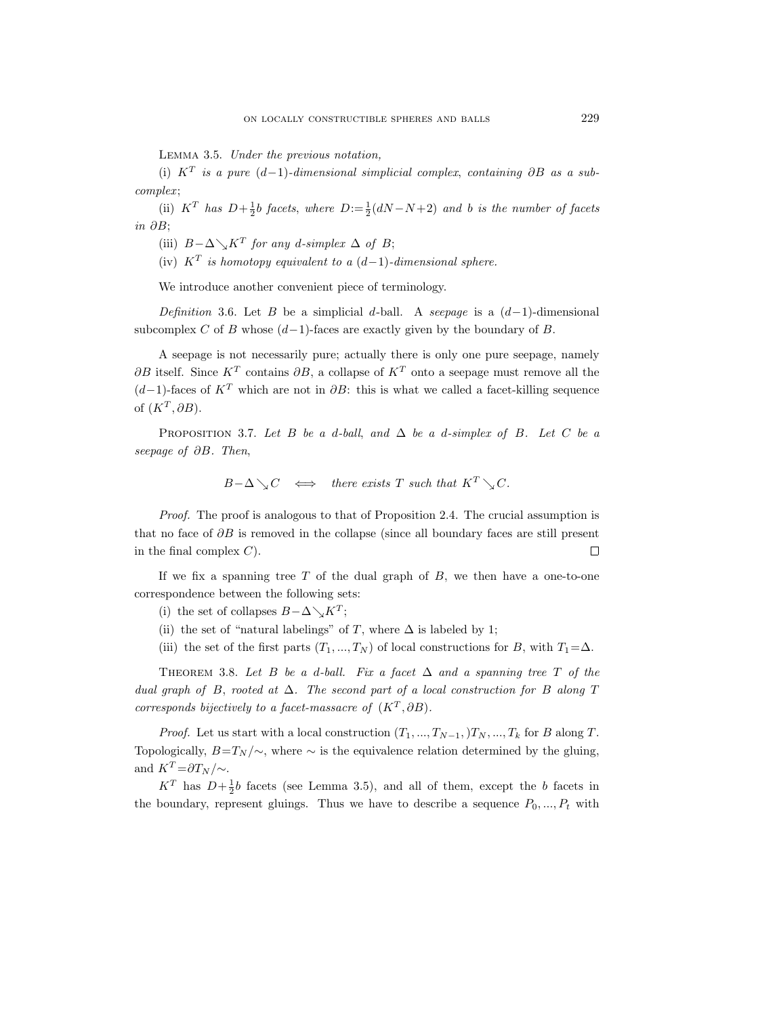Lemma 3.5. Under the previous notation,

(i)  $K^T$  is a pure  $(d-1)$ -dimensional simplicial complex, containing  $\partial B$  as a subcomplex ;

(ii)  $K^T$  has  $D+\frac{1}{2}b$  facets, where  $D:=\frac{1}{2}(dN-N+2)$  and b is the number of facets in ∂B;

(iii)  $B - \Delta \searrow K^T$  for any d-simplex  $\Delta$  of B;

(iv)  $K^T$  is homotopy equivalent to a  $(d-1)$ -dimensional sphere.

We introduce another convenient piece of terminology.

Definition 3.6. Let B be a simplicial d-ball. A seepage is a  $(d-1)$ -dimensional subcomplex C of B whose  $(d-1)$ -faces are exactly given by the boundary of B.

A seepage is not necessarily pure; actually there is only one pure seepage, namely  $\partial B$  itself. Since  $K^T$  contains  $\partial B$ , a collapse of  $K^T$  onto a seepage must remove all the  $(d-1)$ -faces of K<sup>T</sup> which are not in  $\partial B$ : this is what we called a facet-killing sequence of  $(K^T, \partial B)$ .

PROPOSITION 3.7. Let B be a d-ball, and  $\Delta$  be a d-simplex of B. Let C be a seepage of ∂B. Then,

$$
B-\Delta \searrow C \iff there exists T such that K^T \searrow C.
$$

Proof. The proof is analogous to that of Proposition 2.4. The crucial assumption is that no face of  $\partial B$  is removed in the collapse (since all boundary faces are still present in the final complex  $C$ ).  $\Box$ 

If we fix a spanning tree  $T$  of the dual graph of  $B$ , we then have a one-to-one correspondence between the following sets:

(i) the set of collapses  $B - \Delta \searrow K^T$ ;

- (ii) the set of "natural labelings" of T, where  $\Delta$  is labeled by 1;
- (iii) the set of the first parts  $(T_1, ..., T_N)$  of local constructions for B, with  $T_1 = \Delta$ .

THEOREM 3.8. Let B be a d-ball. Fix a facet  $\Delta$  and a spanning tree T of the dual graph of B, rooted at  $\Delta$ . The second part of a local construction for B along T corresponds bijectively to a facet-massacre of  $(K^T, \partial B)$ .

*Proof.* Let us start with a local construction  $(T_1, ..., T_{N-1},)T_N, ..., T_k$  for B along T. Topologically,  $B=T_N/\sim$ , where  $\sim$  is the equivalence relation determined by the gluing, and  $K^T = \partial T_N / \! \sim$ .

 $K^T$  has  $D+\frac{1}{2}b$  facets (see Lemma 3.5), and all of them, except the b facets in the boundary, represent gluings. Thus we have to describe a sequence  $P_0, ..., P_t$  with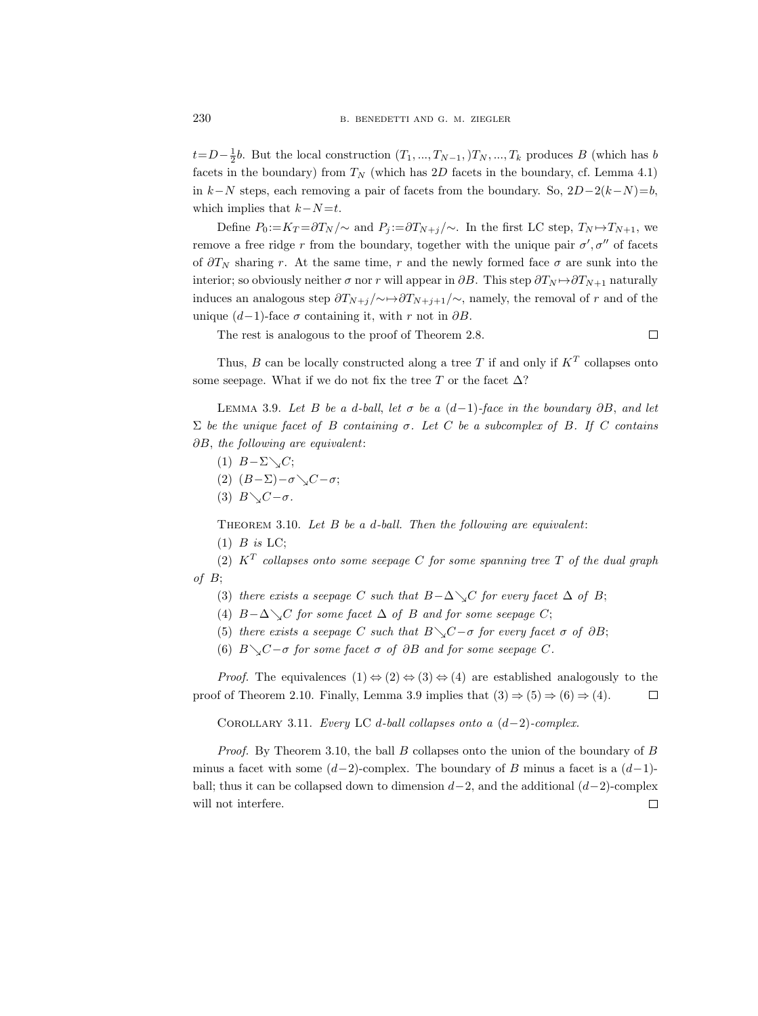$t=D-\frac{1}{2}b$ . But the local construction  $(T_1, ..., T_{N-1},)T_N, ..., T_k$  produces B (which has b facets in the boundary) from  $T_N$  (which has 2D facets in the boundary, cf. Lemma 4.1) in  $k-N$  steps, each removing a pair of facets from the boundary. So,  $2D-2(k-N)=b$ , which implies that  $k-N=t$ .

Define  $P_0 := K_T = \frac{\partial T_N}{\partial \alpha}$  and  $P_i := \frac{\partial T_{N+i}}{\partial \alpha}$ . In the first LC step,  $T_N \rightarrow T_{N+1}$ , we remove a free ridge r from the boundary, together with the unique pair  $\sigma', \sigma''$  of facets of  $\partial T_N$  sharing r. At the same time, r and the newly formed face  $\sigma$  are sunk into the interior; so obviously neither  $\sigma$  nor r will appear in  $\partial B$ . This step  $\partial T_N \rightarrow \partial T_{N+1}$  naturally induces an analogous step  $\frac{\partial T_{N+j}}{\partial Y_{N+j+1}}$ , namely, the removal of r and of the unique  $(d-1)$ -face  $\sigma$  containing it, with r not in  $\partial B$ .

The rest is analogous to the proof of Theorem 2.8.

Thus,  $B$  can be locally constructed along a tree T if and only if  $K<sup>T</sup>$  collapses onto some seepage. What if we do not fix the tree  $T$  or the facet  $\Delta$ ?

 $\Box$ 

LEMMA 3.9. Let B be a d-ball, let  $\sigma$  be a  $(d-1)$ -face in the boundary ∂B, and let Σ be the unique facet of B containing σ. Let C be a subcomplex of B. If C contains ∂B, the following are equivalent:

- (1)  $B-\Sigma\setminus C;$
- (2)  $(B-\Sigma)-\sigma \setminus C-\sigma;$
- (3)  $B\setminus C-\sigma$ .

THEOREM 3.10. Let  $B$  be a d-ball. Then the following are equivalent:

 $(1)$  B is LC;

(2)  $K^T$  collapses onto some seepage C for some spanning tree T of the dual graph of  $B$ ;

- (3) there exists a seepage C such that  $B-\Delta\searrow C$  for every facet  $\Delta$  of B;
- (4)  $B-\Delta\searrow C$  for some facet  $\Delta$  of B and for some seepage C;
- (5) there exists a seepage C such that  $B\_{\mathcal{C}}C-\sigma$  for every facet  $\sigma$  of  $\partial B$ ;
- (6)  $B \setminus C-\sigma$  for some facet  $\sigma$  of  $\partial B$  and for some seepage C.

*Proof.* The equivalences  $(1) \Leftrightarrow (2) \Leftrightarrow (3) \Leftrightarrow (4)$  are established analogously to the proof of Theorem 2.10. Finally, Lemma 3.9 implies that  $(3) \Rightarrow (5) \Rightarrow (6) \Rightarrow (4)$ .  $\Box$ 

COROLLARY 3.11. Every LC d-ball collapses onto a  $(d-2)$ -complex.

*Proof.* By Theorem 3.10, the ball B collapses onto the union of the boundary of B minus a facet with some  $(d-2)$ -complex. The boundary of B minus a facet is a  $(d-1)$ ball; thus it can be collapsed down to dimension  $d-2$ , and the additional  $(d-2)$ -complex  $\Box$ will not interfere.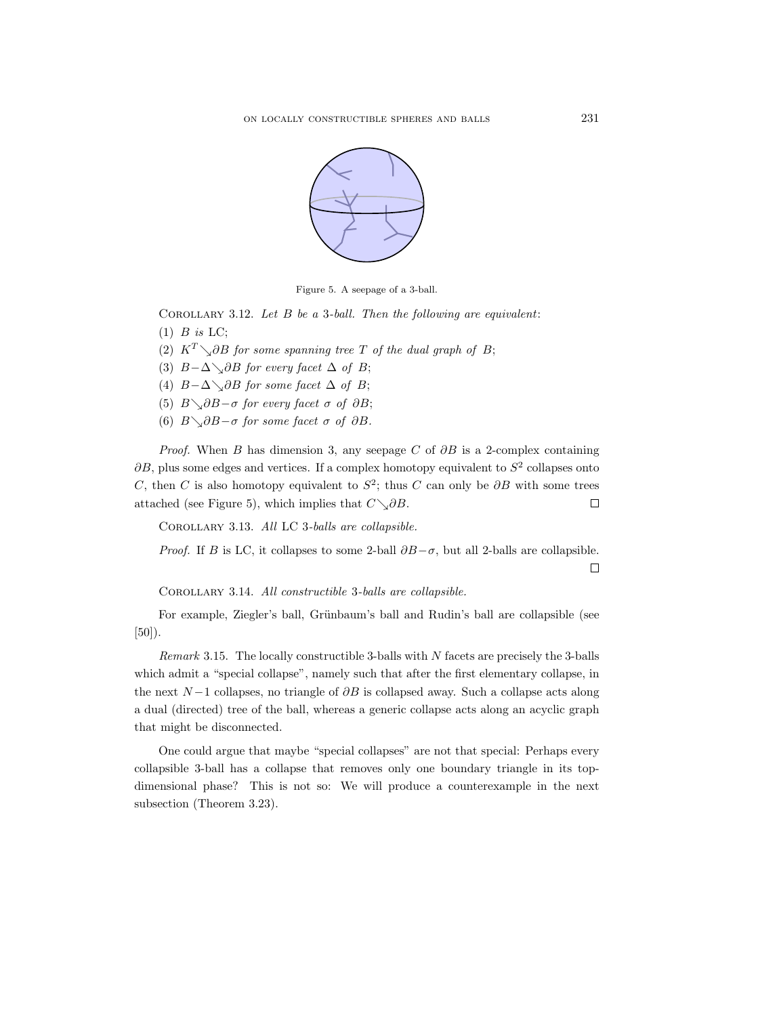

Figure 5. A seepage of a 3-ball.

COROLLARY 3.12. Let  $B$  be a 3-ball. Then the following are equivalent:  $(1)$  B is LC;

- (2)  $K^T \setminus \partial B$  for some spanning tree T of the dual graph of B;
- (3)  $B-\Delta\_{\partial}BB$  for every facet  $\Delta$  of B;
- (4)  $B-\Delta\diagdown\partial B$  for some facet  $\Delta$  of B;
- (5)  $B \setminus \partial B \sigma$  for every facet  $\sigma$  of  $\partial B$ ;
- (6)  $B \setminus \partial B \sigma$  for some facet  $\sigma$  of  $\partial B$ .

*Proof.* When B has dimension 3, any seepage C of  $\partial B$  is a 2-complex containing  $\partial B$ , plus some edges and vertices. If a complex homotopy equivalent to  $S^2$  collapses onto C, then C is also homotopy equivalent to  $S^2$ ; thus C can only be  $\partial B$  with some trees attached (see Figure 5), which implies that  $C\searrow \partial B$ .  $\Box$ 

Corollary 3.13. All LC 3-balls are collapsible.

*Proof.* If B is LC, it collapses to some 2-ball  $\partial B-\sigma$ , but all 2-balls are collapsible.

 $\Box$ 

Corollary 3.14. All constructible 3-balls are collapsible.

For example, Ziegler's ball, Grünbaum's ball and Rudin's ball are collapsible (see  $[50]$ .

Remark 3.15. The locally constructible 3-balls with  $N$  facets are precisely the 3-balls which admit a "special collapse", namely such that after the first elementary collapse, in the next  $N-1$  collapses, no triangle of  $\partial B$  is collapsed away. Such a collapse acts along a dual (directed) tree of the ball, whereas a generic collapse acts along an acyclic graph that might be disconnected.

One could argue that maybe "special collapses" are not that special: Perhaps every collapsible 3-ball has a collapse that removes only one boundary triangle in its topdimensional phase? This is not so: We will produce a counterexample in the next subsection (Theorem 3.23).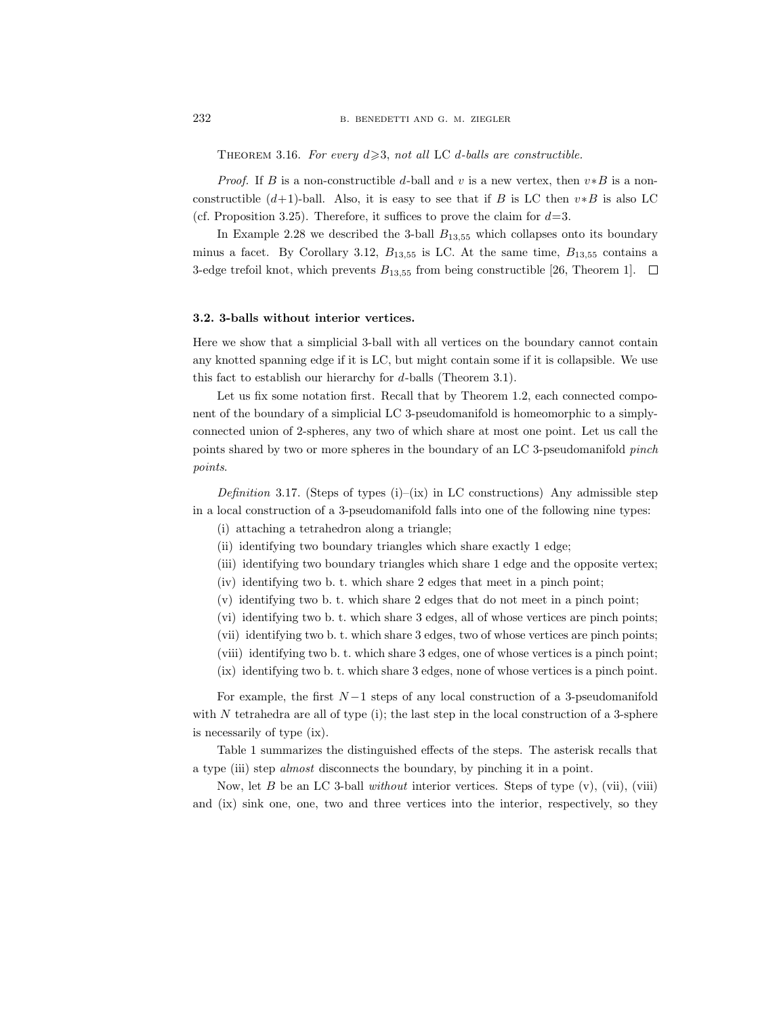THEOREM 3.16. For every  $d \geqslant 3$ , not all LC d-balls are constructible.

*Proof.* If B is a non-constructible d-ball and v is a new vertex, then  $v * B$  is a nonconstructible  $(d+1)$ -ball. Also, it is easy to see that if B is LC then  $v*B$  is also LC (cf. Proposition 3.25). Therefore, it suffices to prove the claim for  $d=3$ .

In Example 2.28 we described the 3-ball  $B_{13,55}$  which collapses onto its boundary minus a facet. By Corollary 3.12,  $B_{13,55}$  is LC. At the same time,  $B_{13,55}$  contains a 3-edge trefoil knot, which prevents  $B_{13,55}$  from being constructible [26, Theorem 1].  $\Box$ 

## 3.2. 3-balls without interior vertices.

Here we show that a simplicial 3-ball with all vertices on the boundary cannot contain any knotted spanning edge if it is LC, but might contain some if it is collapsible. We use this fact to establish our hierarchy for d-balls (Theorem 3.1).

Let us fix some notation first. Recall that by Theorem 1.2, each connected component of the boundary of a simplicial LC 3-pseudomanifold is homeomorphic to a simplyconnected union of 2-spheres, any two of which share at most one point. Let us call the points shared by two or more spheres in the boundary of an LC 3-pseudomanifold pinch points.

Definition 3.17. (Steps of types  $(i)$ –(ix) in LC constructions) Any admissible step in a local construction of a 3-pseudomanifold falls into one of the following nine types:

- (i) attaching a tetrahedron along a triangle;
- (ii) identifying two boundary triangles which share exactly 1 edge;
- (iii) identifying two boundary triangles which share 1 edge and the opposite vertex;
- (iv) identifying two b. t. which share 2 edges that meet in a pinch point;
- (v) identifying two b. t. which share 2 edges that do not meet in a pinch point;
- (vi) identifying two b. t. which share 3 edges, all of whose vertices are pinch points;
- (vii) identifying two b. t. which share 3 edges, two of whose vertices are pinch points;
- (viii) identifying two b. t. which share 3 edges, one of whose vertices is a pinch point;
- (ix) identifying two b. t. which share 3 edges, none of whose vertices is a pinch point.

For example, the first  $N-1$  steps of any local construction of a 3-pseudomanifold with  $N$  tetrahedra are all of type (i); the last step in the local construction of a 3-sphere is necessarily of type (ix).

Table 1 summarizes the distinguished effects of the steps. The asterisk recalls that a type (iii) step almost disconnects the boundary, by pinching it in a point.

Now, let B be an LC 3-ball *without* interior vertices. Steps of type  $(v)$ ,  $(vii)$ ,  $(viii)$ and (ix) sink one, one, two and three vertices into the interior, respectively, so they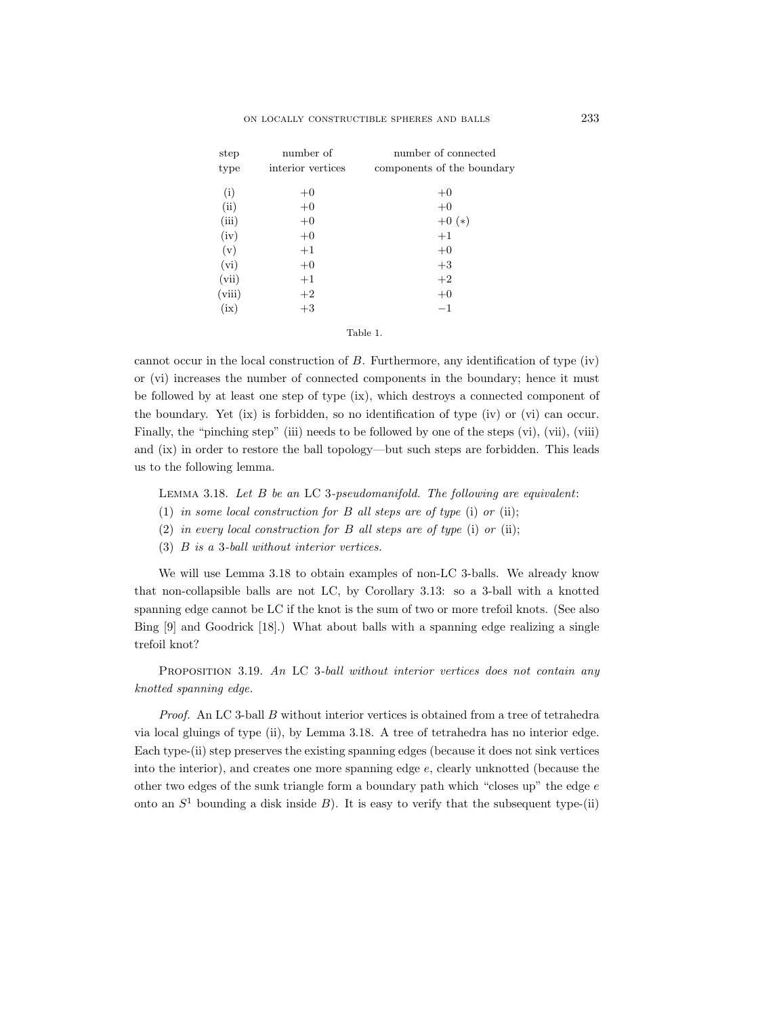| step   | number of         | number of connected        |
|--------|-------------------|----------------------------|
| type   | interior vertices | components of the boundary |
| (i)    | $+0$              | $+0$                       |
| (ii)   | $+0$              | $+0$                       |
| (iii)  | $+0$              | $+0(*)$                    |
| (iv)   | $+0$              | $+1$                       |
| (v)    | $+1$              | $+0$                       |
| (vi)   | $+0$              | $+3$                       |
| (vii)  | $+1$              | $+2$                       |
| (viii) | $+2$              | $+0$                       |
| (ix)   | $+3$              | $^{-1}$                    |
|        |                   |                            |

Table 1.

cannot occur in the local construction of B. Furthermore, any identification of type (iv) or (vi) increases the number of connected components in the boundary; hence it must be followed by at least one step of type (ix), which destroys a connected component of the boundary. Yet (ix) is forbidden, so no identification of type (iv) or (vi) can occur. Finally, the "pinching step" (iii) needs to be followed by one of the steps (vi), (vii), (viii) and (ix) in order to restore the ball topology—but such steps are forbidden. This leads us to the following lemma.

Lemma 3.18. Let B be an LC 3-pseudomanifold. The following are equivalent:

- (1) in some local construction for  $B$  all steps are of type (i) or (ii);
- (2) in every local construction for  $B$  all steps are of type (i) or (ii);
- (3) B is a 3-ball without interior vertices.

We will use Lemma 3.18 to obtain examples of non-LC 3-balls. We already know that non-collapsible balls are not LC, by Corollary 3.13: so a 3-ball with a knotted spanning edge cannot be LC if the knot is the sum of two or more trefoil knots. (See also Bing [9] and Goodrick [18].) What about balls with a spanning edge realizing a single trefoil knot?

PROPOSITION 3.19. An LC 3-ball without interior vertices does not contain any knotted spanning edge.

Proof. An LC 3-ball B without interior vertices is obtained from a tree of tetrahedra via local gluings of type (ii), by Lemma 3.18. A tree of tetrahedra has no interior edge. Each type-(ii) step preserves the existing spanning edges (because it does not sink vertices into the interior), and creates one more spanning edge e, clearly unknotted (because the other two edges of the sunk triangle form a boundary path which "closes up" the edge  $e$ onto an  $S<sup>1</sup>$  bounding a disk inside B). It is easy to verify that the subsequent type-(ii)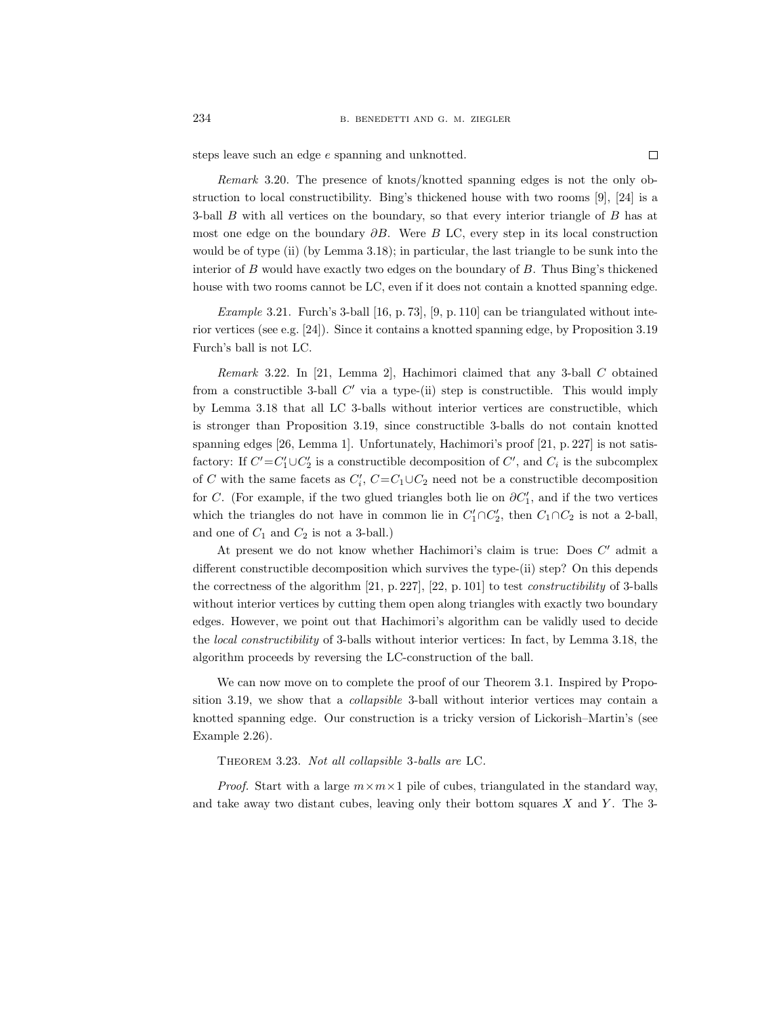steps leave such an edge e spanning and unknotted.

Remark 3.20. The presence of knots/knotted spanning edges is not the only obstruction to local constructibility. Bing's thickened house with two rooms [9], [24] is a 3-ball  $B$  with all vertices on the boundary, so that every interior triangle of  $B$  has at most one edge on the boundary  $\partial B$ . Were B LC, every step in its local construction would be of type (ii) (by Lemma 3.18); in particular, the last triangle to be sunk into the interior of  $B$  would have exactly two edges on the boundary of  $B$ . Thus Bing's thickened house with two rooms cannot be LC, even if it does not contain a knotted spanning edge.

Example 3.21. Furch's 3-ball [16, p. 73], [9, p. 110] can be triangulated without interior vertices (see e.g. [24]). Since it contains a knotted spanning edge, by Proposition 3.19 Furch's ball is not LC.

Remark 3.22. In [21, Lemma 2], Hachimori claimed that any 3-ball C obtained from a constructible 3-ball  $C'$  via a type-(ii) step is constructible. This would imply by Lemma 3.18 that all LC 3-balls without interior vertices are constructible, which is stronger than Proposition 3.19, since constructible 3-balls do not contain knotted spanning edges [26, Lemma 1]. Unfortunately, Hachimori's proof [21, p. 227] is not satisfactory: If  $C' = C'_1 \cup C'_2$  is a constructible decomposition of  $C'$ , and  $C_i$  is the subcomplex of C with the same facets as  $C_i$ ,  $C = C_1 \cup C_2$  need not be a constructible decomposition for C. (For example, if the two glued triangles both lie on  $\partial C_1'$ , and if the two vertices which the triangles do not have in common lie in  $C'_1 \cap C'_2$ , then  $C_1 \cap C_2$  is not a 2-ball, and one of  $C_1$  and  $C_2$  is not a 3-ball.)

At present we do not know whether Hachimori's claim is true: Does  $C'$  admit a different constructible decomposition which survives the type-(ii) step? On this depends the correctness of the algorithm [21, p. 227], [22, p. 101] to test constructibility of 3-balls without interior vertices by cutting them open along triangles with exactly two boundary edges. However, we point out that Hachimori's algorithm can be validly used to decide the local constructibility of 3-balls without interior vertices: In fact, by Lemma 3.18, the algorithm proceeds by reversing the LC-construction of the ball.

We can now move on to complete the proof of our Theorem 3.1. Inspired by Proposition 3.19, we show that a *collapsible* 3-ball without interior vertices may contain a knotted spanning edge. Our construction is a tricky version of Lickorish–Martin's (see Example 2.26).

Theorem 3.23. Not all collapsible 3-balls are LC.

*Proof.* Start with a large  $m \times m \times 1$  pile of cubes, triangulated in the standard way, and take away two distant cubes, leaving only their bottom squares  $X$  and  $Y$ . The 3-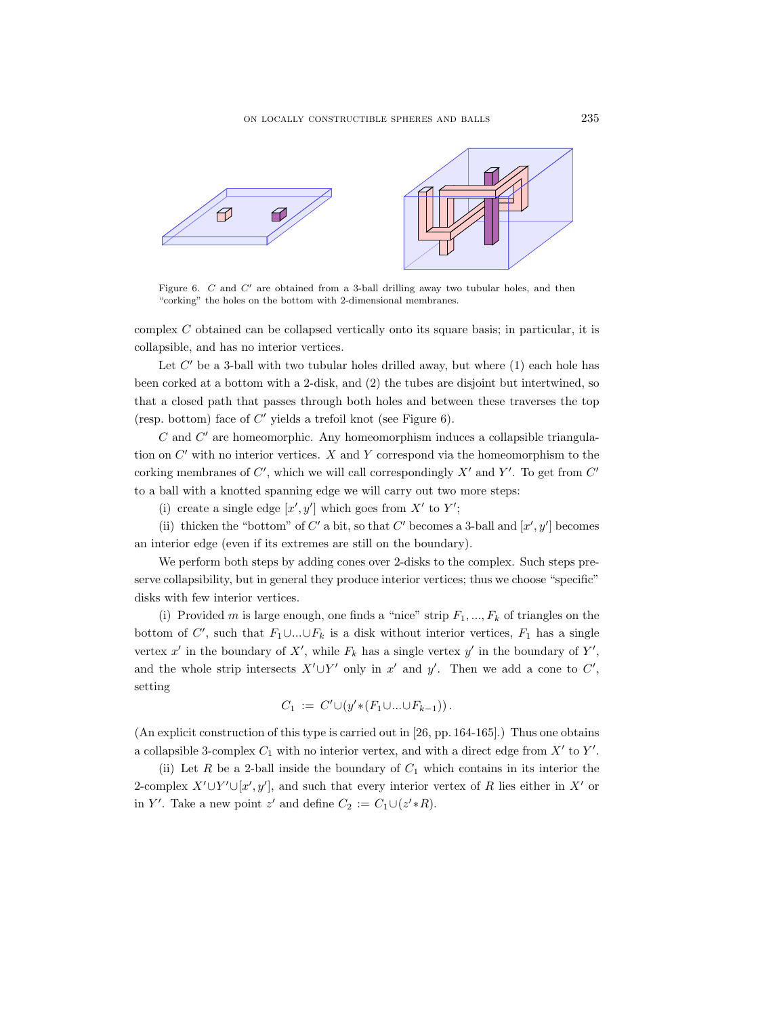

Figure 6. C and  $C'$  are obtained from a 3-ball drilling away two tubular holes, and then "corking" the holes on the bottom with 2-dimensional membranes.

complex C obtained can be collapsed vertically onto its square basis; in particular, it is collapsible, and has no interior vertices.

Let  $C'$  be a 3-ball with two tubular holes drilled away, but where  $(1)$  each hole has been corked at a bottom with a 2-disk, and (2) the tubes are disjoint but intertwined, so that a closed path that passes through both holes and between these traverses the top (resp. bottom) face of  $C'$  yields a trefoil knot (see Figure 6).

 $C$  and  $C'$  are homeomorphic. Any homeomorphism induces a collapsible triangulation on  $C'$  with no interior vertices. X and Y correspond via the homeomorphism to the corking membranes of  $C'$ , which we will call correspondingly  $X'$  and  $Y'$ . To get from  $C'$ to a ball with a knotted spanning edge we will carry out two more steps:

(i) create a single edge  $[x', y']$  which goes from X' to Y';

(ii) thicken the "bottom" of C' a bit, so that C' becomes a 3-ball and  $[x', y']$  becomes an interior edge (even if its extremes are still on the boundary).

We perform both steps by adding cones over 2-disks to the complex. Such steps preserve collapsibility, but in general they produce interior vertices; thus we choose "specific" disks with few interior vertices.

(i) Provided m is large enough, one finds a "nice" strip  $F_1, ..., F_k$  of triangles on the bottom of C', such that  $F_1 \cup ... \cup F_k$  is a disk without interior vertices,  $F_1$  has a single vertex  $x'$  in the boundary of  $X'$ , while  $F_k$  has a single vertex  $y'$  in the boundary of  $Y'$ , and the whole strip intersects  $X' \cup Y'$  only in x' and y'. Then we add a cone to C', setting

$$
C_1 := C' \cup (y' * (F_1 \cup ... \cup F_{k-1})).
$$

(An explicit construction of this type is carried out in [26, pp. 164-165].) Thus one obtains a collapsible 3-complex  $C_1$  with no interior vertex, and with a direct edge from  $X'$  to  $Y'$ .

(ii) Let R be a 2-ball inside the boundary of  $C_1$  which contains in its interior the 2-complex  $X' \cup Y' \cup [x', y']$ , and such that every interior vertex of R lies either in X' or in Y'. Take a new point z' and define  $C_2 := C_1 \cup (z' * R)$ .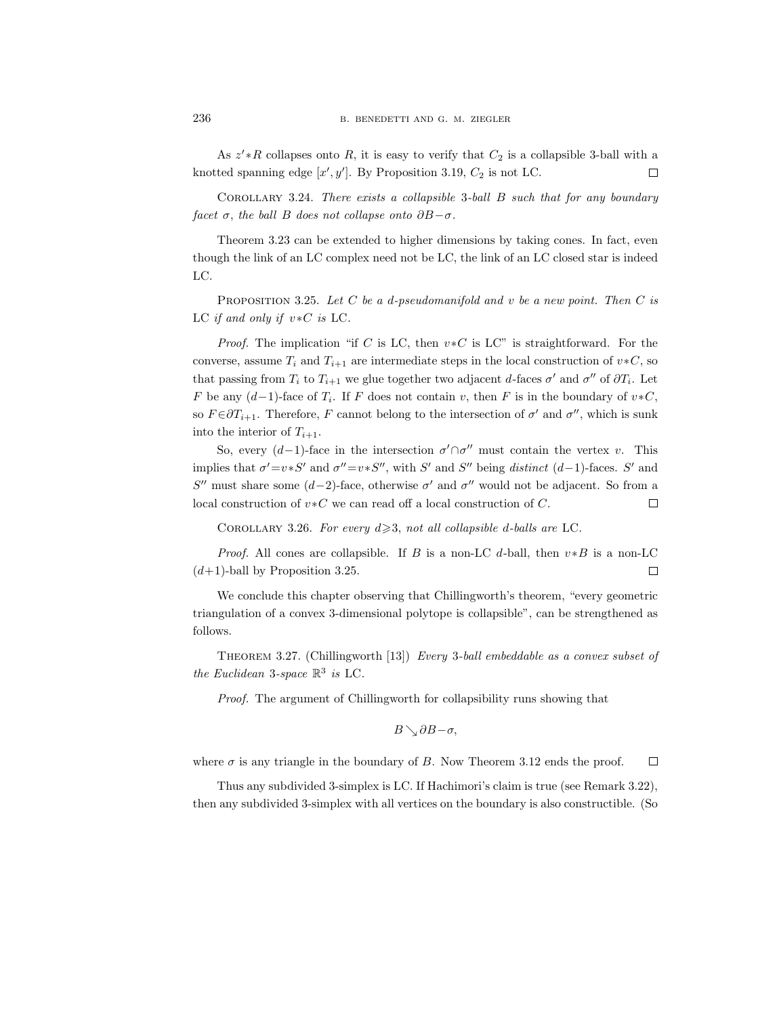As  $z' * R$  collapses onto R, it is easy to verify that  $C_2$  is a collapsible 3-ball with a knotted spanning edge  $[x', y']$ . By Proposition 3.19,  $C_2$  is not LC.  $\Box$ 

COROLLARY 3.24. There exists a collapsible 3-ball  $B$  such that for any boundary facet  $\sigma$ , the ball B does not collapse onto  $\partial B-\sigma$ .

Theorem 3.23 can be extended to higher dimensions by taking cones. In fact, even though the link of an LC complex need not be LC, the link of an LC closed star is indeed LC.

PROPOSITION 3.25. Let  $C$  be a d-pseudomanifold and v be a new point. Then  $C$  is LC if and only if  $v * C$  is LC.

*Proof.* The implication "if C is LC, then  $v * C$  is LC" is straightforward. For the converse, assume  $T_i$  and  $T_{i+1}$  are intermediate steps in the local construction of  $v * C$ , so that passing from  $T_i$  to  $T_{i+1}$  we glue together two adjacent d-faces  $\sigma'$  and  $\sigma''$  of  $\partial T_i$ . Let F be any  $(d-1)$ -face of  $T_i$ . If F does not contain v, then F is in the boundary of  $v * C$ , so  $F \in \partial T_{i+1}$ . Therefore, F cannot belong to the intersection of  $\sigma'$  and  $\sigma''$ , which is sunk into the interior of  $T_{i+1}$ .

So, every  $(d-1)$ -face in the intersection  $\sigma' \cap \sigma''$  must contain the vertex v. This implies that  $\sigma' = v * S'$  and  $\sigma'' = v * S''$ , with S' and S'' being *distinct*  $(d-1)$ -faces. S' and S'' must share some  $(d-2)$ -face, otherwise  $\sigma'$  and  $\sigma''$  would not be adjacent. So from a local construction of v∗C we can read off a local construction of C.  $\Box$ 

COROLLARY 3.26. For every  $d \geq 3$ , not all collapsible d-balls are LC.

*Proof.* All cones are collapsible. If B is a non-LC d-ball, then  $v*B$  is a non-LC  $(d+1)$ -ball by Proposition 3.25.  $\Box$ 

We conclude this chapter observing that Chillingworth's theorem, "every geometric triangulation of a convex 3-dimensional polytope is collapsible", can be strengthened as follows.

Theorem 3.27. (Chillingworth [13]) Every 3-ball embeddable as a convex subset of the Euclidean 3-space  $\mathbb{R}^3$  is LC.

Proof. The argument of Chillingworth for collapsibility runs showing that

$$
B\searrow \partial B-\sigma,
$$

where  $\sigma$  is any triangle in the boundary of B. Now Theorem 3.12 ends the proof.  $\Box$ 

Thus any subdivided 3-simplex is LC. If Hachimori's claim is true (see Remark 3.22), then any subdivided 3-simplex with all vertices on the boundary is also constructible. (So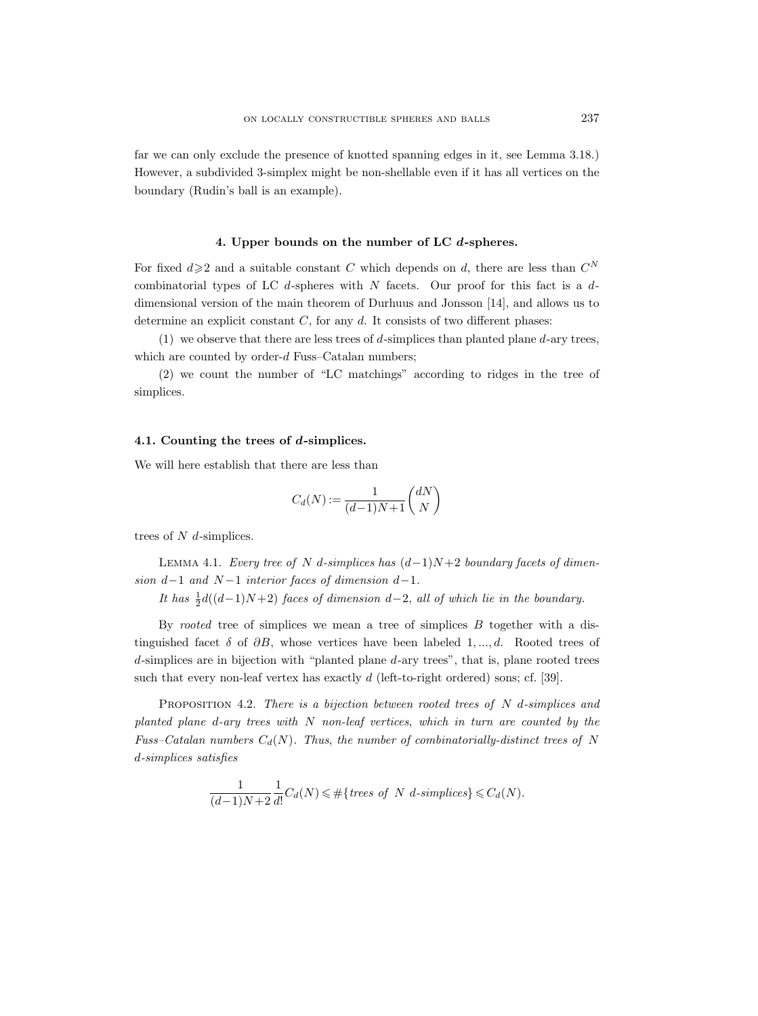far we can only exclude the presence of knotted spanning edges in it, see Lemma 3.18.) However, a subdivided 3-simplex might be non-shellable even if it has all vertices on the boundary (Rudin's ball is an example).

### 4. Upper bounds on the number of LC d-spheres.

For fixed  $d \geq 2$  and a suitable constant C which depends on d, there are less than  $C^N$ combinatorial types of LC  $d$ -spheres with  $N$  facets. Our proof for this fact is a  $d$ dimensional version of the main theorem of Durhuus and Jonsson [14], and allows us to determine an explicit constant  $C$ , for any  $d$ . It consists of two different phases:

(1) we observe that there are less trees of  $d$ -simplices than planted plane  $d$ -ary trees, which are counted by order- $d$  Fuss–Catalan numbers;

(2) we count the number of "LC matchings" according to ridges in the tree of simplices.

## 4.1. Counting the trees of d-simplices.

We will here establish that there are less than

$$
C_d(N) := \frac{1}{(d-1)N+1} \binom{dN}{N}
$$

trees of  $N$  d-simplices.

LEMMA 4.1. Every tree of N d-simplices has  $(d-1)N+2$  boundary facets of dimension  $d-1$  and  $N-1$  interior faces of dimension  $d-1$ .

It has  $\frac{1}{2}d((d-1)N+2)$  faces of dimension d-2, all of which lie in the boundary.

By rooted tree of simplices we mean a tree of simplices  $B$  together with a distinguished facet  $\delta$  of  $\partial B$ , whose vertices have been labeled 1, ..., d. Rooted trees of  $d$ -simplices are in bijection with "planted plane  $d$ -ary trees", that is, plane rooted trees such that every non-leaf vertex has exactly  $d$  (left-to-right ordered) sons; cf. [39].

**PROPOSITION 4.2.** There is a bijection between rooted trees of  $N$  d-simplices and planted plane d-ary trees with N non-leaf vertices, which in turn are counted by the Fuss–Catalan numbers  $C_d(N)$ . Thus, the number of combinatorially-distinct trees of N d-simplices satisfies

$$
\frac{1}{(d-1)N+2} \frac{1}{d!} C_d(N) \leq \#\{\text{trees of } N \text{ } d\text{-simplices}\} \leq C_d(N).
$$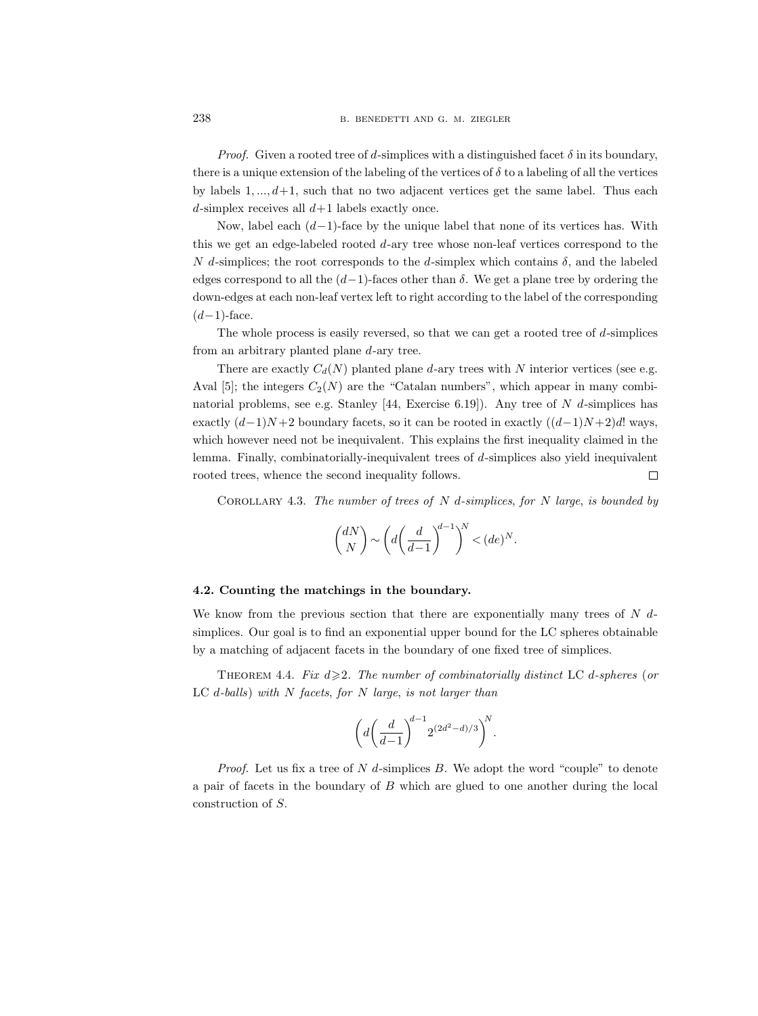*Proof.* Given a rooted tree of d-simplices with a distinguished facet  $\delta$  in its boundary, there is a unique extension of the labeling of the vertices of  $\delta$  to a labeling of all the vertices by labels  $1, \ldots, d+1$ , such that no two adjacent vertices get the same label. Thus each d-simplex receives all  $d+1$  labels exactly once.

Now, label each  $(d-1)$ -face by the unique label that none of its vertices has. With this we get an edge-labeled rooted  $d$ -ary tree whose non-leaf vertices correspond to the N d-simplices; the root corresponds to the d-simplex which contains  $\delta$ , and the labeled edges correspond to all the  $(d-1)$ -faces other than  $\delta$ . We get a plane tree by ordering the down-edges at each non-leaf vertex left to right according to the label of the corresponding  $(d-1)$ -face.

The whole process is easily reversed, so that we can get a rooted tree of  $d$ -simplices from an arbitrary planted plane d-ary tree.

There are exactly  $C_d(N)$  planted plane d-ary trees with N interior vertices (see e.g. Aval [5]; the integers  $C_2(N)$  are the "Catalan numbers", which appear in many combinatorial problems, see e.g. Stanley [44, Exercise 6.19]). Any tree of  $N$  d-simplices has exactly  $(d-1)N+2$  boundary facets, so it can be rooted in exactly  $((d-1)N+2)d!$  ways, which however need not be inequivalent. This explains the first inequality claimed in the lemma. Finally, combinatorially-inequivalent trees of d-simplices also yield inequivalent rooted trees, whence the second inequality follows.  $\Box$ 

COROLLARY 4.3. The number of trees of  $N$  d-simplices, for  $N$  large, is bounded by

$$
\binom{dN}{N} \sim \left(d\left(\frac{d}{d-1}\right)^{d-1}\right)^N < (de)^N.
$$

## 4.2. Counting the matchings in the boundary.

We know from the previous section that there are exponentially many trees of  $N$  dsimplices. Our goal is to find an exponential upper bound for the LC spheres obtainable by a matching of adjacent facets in the boundary of one fixed tree of simplices.

THEOREM 4.4. Fix  $d \geq 2$ . The number of combinatorially distinct LC d-spheres (or LC  $d$ -balls) with  $N$  facets, for  $N$  large, is not larger than

$$
\left(d\left(\frac{d}{d-1}\right)^{d-1}2^{(2d^2-d)/3}\right)^N.
$$

*Proof.* Let us fix a tree of  $N$  d-simplices  $B$ . We adopt the word "couple" to denote a pair of facets in the boundary of B which are glued to one another during the local construction of S.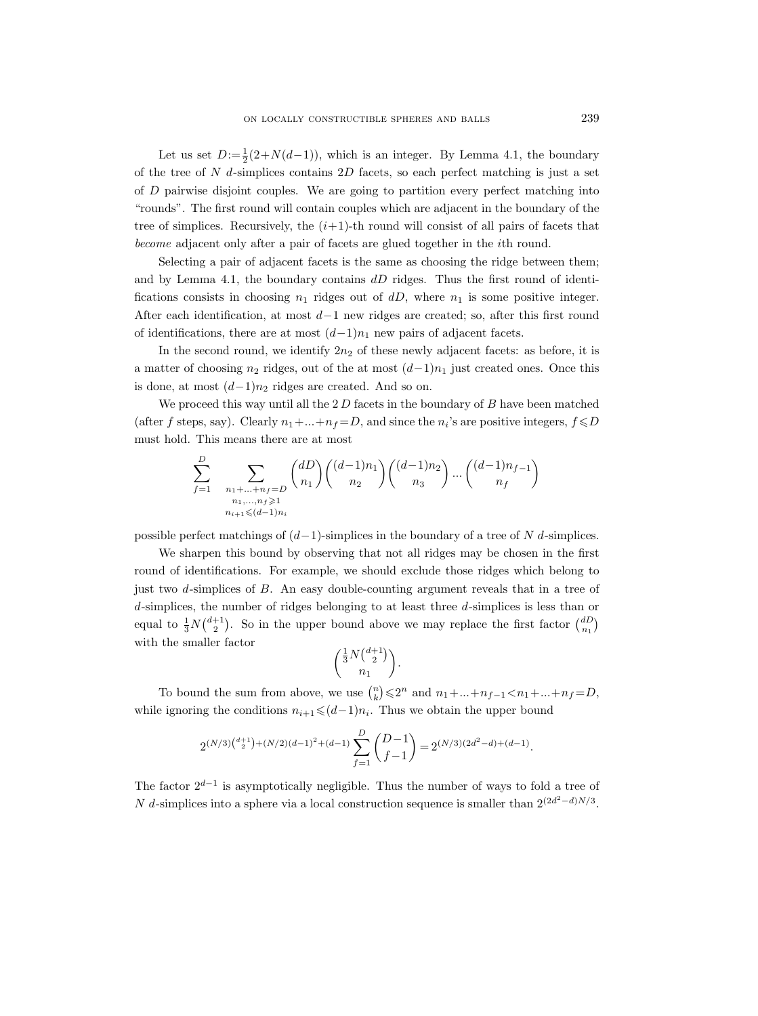Let us set  $D := \frac{1}{2}(2+N(d-1))$ , which is an integer. By Lemma 4.1, the boundary of the tree of  $N$  d-simplices contains  $2D$  facets, so each perfect matching is just a set of D pairwise disjoint couples. We are going to partition every perfect matching into "rounds". The first round will contain couples which are adjacent in the boundary of the tree of simplices. Recursively, the  $(i+1)$ -th round will consist of all pairs of facets that become adjacent only after a pair of facets are glued together in the ith round.

Selecting a pair of adjacent facets is the same as choosing the ridge between them; and by Lemma 4.1, the boundary contains  $dD$  ridges. Thus the first round of identifications consists in choosing  $n_1$  ridges out of dD, where  $n_1$  is some positive integer. After each identification, at most  $d-1$  new ridges are created; so, after this first round of identifications, there are at most  $(d-1)n_1$  new pairs of adjacent facets.

In the second round, we identify  $2n_2$  of these newly adjacent facets: as before, it is a matter of choosing  $n_2$  ridges, out of the at most  $(d-1)n_1$  just created ones. Once this is done, at most  $(d-1)n_2$  ridges are created. And so on.

We proceed this way until all the  $2 D$  facets in the boundary of  $B$  have been matched (after f steps, say). Clearly  $n_1 + ... + n_f = D$ , and since the  $n_i$ 's are positive integers,  $f \le D$ must hold. This means there are at most

 $\overline{D}$ 

$$
\sum_{f=1}^{D} \sum_{\substack{n_1 + \dots + n_f = D \\ n_1, \dots, n_f \ge 1 \\ n_{i+1} \le (d-1)n_i}} \binom{dD}{n_1} \binom{(d-1)n_1}{n_2} \binom{(d-1)n_2}{n_3} \dots \binom{(d-1)n_{f-1}}{n_f}
$$

possible perfect matchings of  $(d-1)$ -simplices in the boundary of a tree of N d-simplices.

We sharpen this bound by observing that not all ridges may be chosen in the first round of identifications. For example, we should exclude those ridges which belong to just two d-simplices of B. An easy double-counting argument reveals that in a tree of d-simplices, the number of ridges belonging to at least three d-simplices is less than or equal to  $\frac{1}{3}N\binom{d+1}{2}$ . So in the upper bound above we may replace the first factor  $\binom{dD}{n_1}$ with the smaller factor

$$
\binom{\frac{1}{3}N\binom{d+1}{2}}{n_1}.
$$

To bound the sum from above, we use  $\binom{n}{k} \leq 2^n$  and  $n_1 + ... + n_{f-1} < n_1 + ... + n_f = D$ , while ignoring the conditions  $n_{i+1} \leqslant (d-1)n_i$ . Thus we obtain the upper bound

$$
2^{(N/3)\binom{d+1}{2}+(N/2)(d-1)^2+(d-1)}\sum_{f=1}^D\binom{D-1}{f-1}=2^{(N/3)(2d^2-d)+(d-1)}.
$$

The factor  $2^{d-1}$  is asymptotically negligible. Thus the number of ways to fold a tree of N d-simplices into a sphere via a local construction sequence is smaller than  $2^{(2d^2-d)N/3}$ .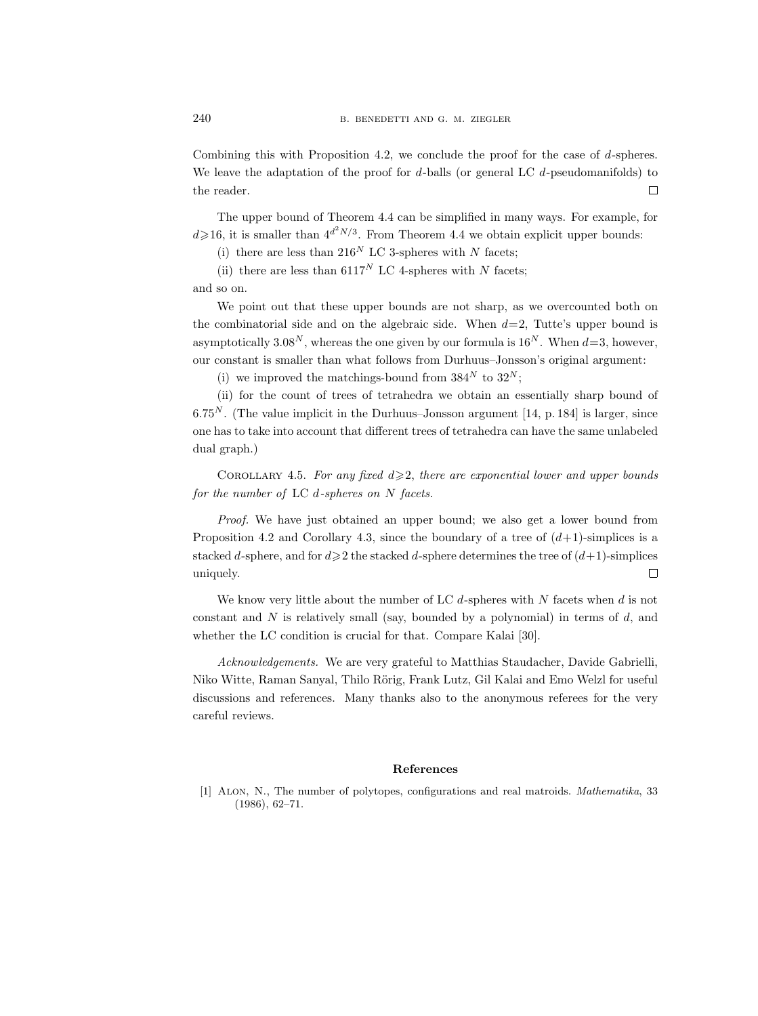Combining this with Proposition 4.2, we conclude the proof for the case of d-spheres. We leave the adaptation of the proof for  $d$ -balls (or general LC  $d$ -pseudomanifolds) to the reader.  $\Box$ 

The upper bound of Theorem 4.4 can be simplified in many ways. For example, for  $d \geq 16$ , it is smaller than  $4^{d^2N/3}$ . From Theorem 4.4 we obtain explicit upper bounds:

(i) there are less than 216<sup>N</sup> LC 3-spheres with N facets;

(ii) there are less than  $6117^N$  LC 4-spheres with N facets;

and so on.

We point out that these upper bounds are not sharp, as we overcounted both on the combinatorial side and on the algebraic side. When  $d=2$ , Tutte's upper bound is asymptotically 3.08<sup>N</sup>, whereas the one given by our formula is  $16^N$ . When  $d=3$ , however, our constant is smaller than what follows from Durhuus–Jonsson's original argument:

(i) we improved the matchings-bound from  $384^N$  to  $32^N$ ;

(ii) for the count of trees of tetrahedra we obtain an essentially sharp bound of  $6.75<sup>N</sup>$ . (The value implicit in the Durhuus–Jonsson argument [14, p. 184] is larger, since one has to take into account that different trees of tetrahedra can have the same unlabeled dual graph.)

COROLLARY 4.5. For any fixed  $d \geq 2$ , there are exponential lower and upper bounds for the number of LC  $d$ -spheres on N facets.

Proof. We have just obtained an upper bound; we also get a lower bound from Proposition 4.2 and Corollary 4.3, since the boundary of a tree of  $(d+1)$ -simplices is a stacked d-sphere, and for  $d \geq 2$  the stacked d-sphere determines the tree of  $(d+1)$ -simplices  $\Box$ uniquely.

We know very little about the number of LC  $d$ -spheres with N facets when  $d$  is not constant and  $N$  is relatively small (say, bounded by a polynomial) in terms of  $d$ , and whether the LC condition is crucial for that. Compare Kalai [30].

Acknowledgements. We are very grateful to Matthias Staudacher, Davide Gabrielli, Niko Witte, Raman Sanyal, Thilo Rörig, Frank Lutz, Gil Kalai and Emo Welzl for useful discussions and references. Many thanks also to the anonymous referees for the very careful reviews.

#### References

[1] Alon, N., The number of polytopes, configurations and real matroids. Mathematika, 33 (1986), 62–71.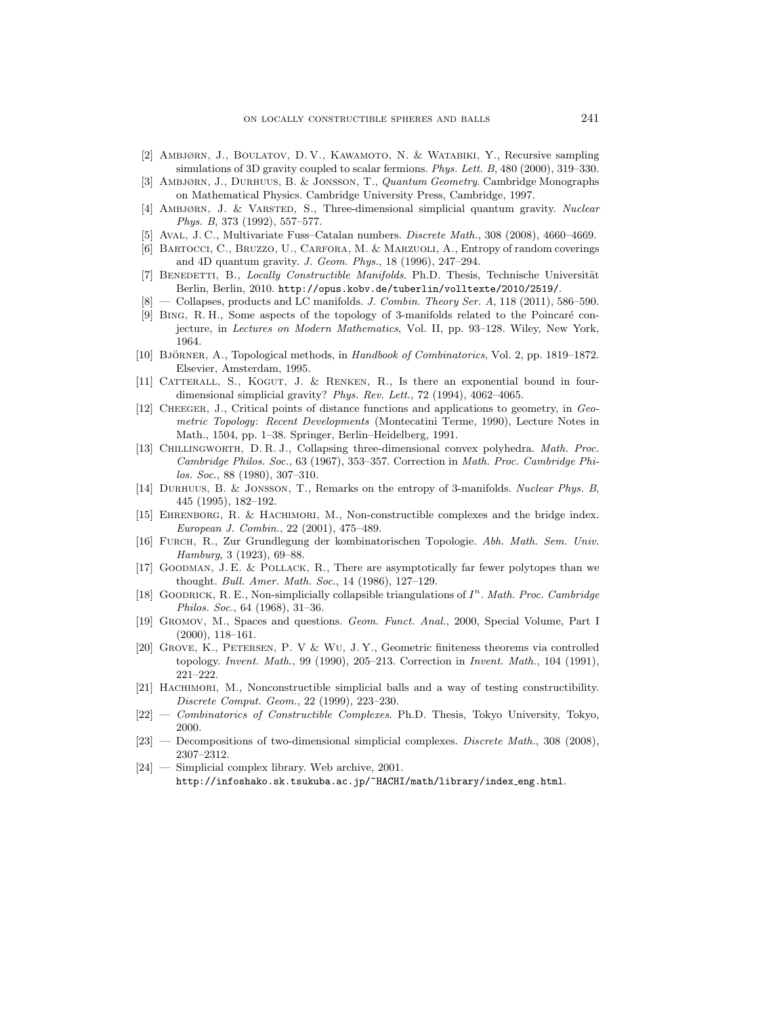- [2] Ambjørn, J., Boulatov, D. V., Kawamoto, N. & Watabiki, Y., Recursive sampling simulations of 3D gravity coupled to scalar fermions. Phys. Lett. B, 480 (2000), 319–330.
- [3] Ambjørn, J., Durhuus, B. & Jonsson, T., Quantum Geometry. Cambridge Monographs on Mathematical Physics. Cambridge University Press, Cambridge, 1997.
- [4] AMBJØRN, J. & VARSTED, S., Three-dimensional simplicial quantum gravity. Nuclear Phys. B, 373 (1992), 557–577.
- [5] Aval, J. C., Multivariate Fuss–Catalan numbers. Discrete Math., 308 (2008), 4660–4669.
- [6] Bartocci, C., Bruzzo, U., Carfora, M. & Marzuoli, A., Entropy of random coverings and 4D quantum gravity. J. Geom. Phys., 18 (1996), 247–294.
- [7] BENEDETTI, B., Locally Constructible Manifolds. Ph.D. Thesis, Technische Universität Berlin, Berlin, 2010. http://opus.kobv.de/tuberlin/volltexte/2010/2519/.
- $[8]$  Collapses, products and LC manifolds. J. Combin. Theory Ser. A, 118 (2011), 586–590.
- [9] BING, R. H., Some aspects of the topology of 3-manifolds related to the Poincaré conjecture, in Lectures on Modern Mathematics, Vol. II, pp. 93–128. Wiley, New York, 1964.
- [10] BJÖRNER, A., Topological methods, in Handbook of Combinatorics, Vol. 2, pp. 1819–1872. Elsevier, Amsterdam, 1995.
- [11] Catterall, S., Kogut, J. & Renken, R., Is there an exponential bound in fourdimensional simplicial gravity? Phys. Rev. Lett., 72 (1994), 4062–4065.
- [12] Cheeger, J., Critical points of distance functions and applications to geometry, in Geometric Topology: Recent Developments (Montecatini Terme, 1990), Lecture Notes in Math., 1504, pp. 1–38. Springer, Berlin–Heidelberg, 1991.
- [13] Chillingworth, D. R. J., Collapsing three-dimensional convex polyhedra. Math. Proc. Cambridge Philos. Soc., 63 (1967), 353–357. Correction in Math. Proc. Cambridge Philos. Soc., 88 (1980), 307–310.
- [14] Durhuus, B. & Jonsson, T., Remarks on the entropy of 3-manifolds. Nuclear Phys. B, 445 (1995), 182–192.
- [15] Ehrenborg, R. & Hachimori, M., Non-constructible complexes and the bridge index. European J. Combin., 22 (2001), 475–489.
- [16] Furch, R., Zur Grundlegung der kombinatorischen Topologie. Abh. Math. Sem. Univ. Hamburg, 3 (1923), 69–88.
- [17] Goodman, J. E. & Pollack, R., There are asymptotically far fewer polytopes than we thought. Bull. Amer. Math. Soc., 14 (1986), 127–129.
- [18] GOODRICK, R. E., Non-simplicially collapsible triangulations of  $I<sup>n</sup>$ . Math. Proc. Cambridge Philos. Soc., 64 (1968), 31–36.
- [19] Gromov, M., Spaces and questions. Geom. Funct. Anal., 2000, Special Volume, Part I (2000), 118–161.
- [20] Grove, K., Petersen, P. V & Wu, J. Y., Geometric finiteness theorems via controlled topology. Invent. Math., 99 (1990), 205–213. Correction in Invent. Math., 104 (1991), 221–222.
- [21] Hachimori, M., Nonconstructible simplicial balls and a way of testing constructibility. Discrete Comput. Geom., 22 (1999), 223–230.
- $[22]$  Combinatorics of Constructible Complexes. Ph.D. Thesis, Tokyo University, Tokyo, 2000.
- [23] Decompositions of two-dimensional simplicial complexes. Discrete Math., 308 (2008), 2307–2312.
- [24] Simplicial complex library. Web archive, 2001. http://infoshako.sk.tsukuba.ac.jp/~HACHI/math/library/index eng.html.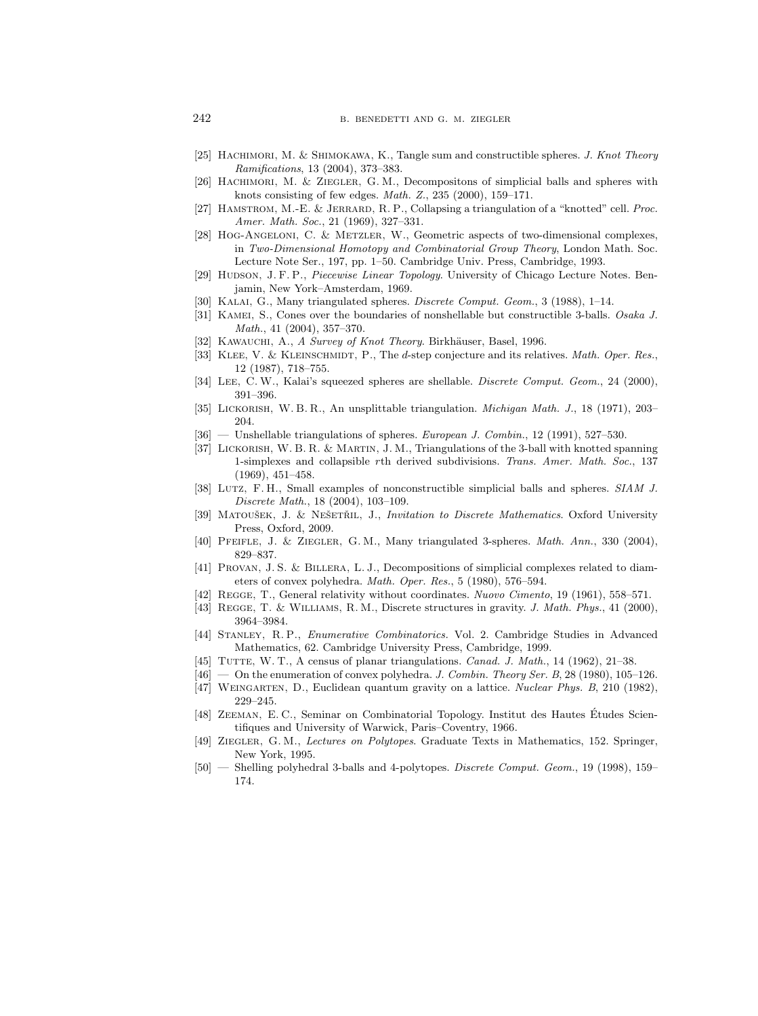- [25] HACHIMORI, M. & SHIMOKAWA, K., Tangle sum and constructible spheres. J. Knot Theory Ramifications, 13 (2004), 373–383.
- [26] HACHIMORI, M. & ZIEGLER, G. M., Decompositons of simplicial balls and spheres with knots consisting of few edges. Math. Z., 235 (2000), 159–171.
- [27] Hamstrom, M.-E. & Jerrard, R. P., Collapsing a triangulation of a "knotted" cell. Proc. Amer. Math. Soc., 21 (1969), 327–331.
- [28] Hog-Angeloni, C. & Metzler, W., Geometric aspects of two-dimensional complexes, in Two-Dimensional Homotopy and Combinatorial Group Theory, London Math. Soc. Lecture Note Ser., 197, pp. 1–50. Cambridge Univ. Press, Cambridge, 1993.
- [29] HUDSON, J. F. P., Piecewise Linear Topology. University of Chicago Lecture Notes. Benjamin, New York–Amsterdam, 1969.
- [30] Kalai, G., Many triangulated spheres. Discrete Comput. Geom., 3 (1988), 1–14.
- [31] KAMEI, S., Cones over the boundaries of nonshellable but constructible 3-balls. Osaka J. Math., 41 (2004), 357–370.
- [32] KAWAUCHI, A., A Survey of Knot Theory. Birkhäuser, Basel, 1996.
- [33] KLEE, V. & KLEINSCHMIDT, P., The d-step conjecture and its relatives. Math. Oper. Res., 12 (1987), 718–755.
- [34] LEE, C.W., Kalai's squeezed spheres are shellable. Discrete Comput. Geom., 24 (2000), 391–396.
- [35] Lickorish, W. B. R., An unsplittable triangulation. Michigan Math. J., 18 (1971), 203– 204.
- [36] Unshellable triangulations of spheres. European J. Combin., 12 (1991), 527-530.
- [37] Lickorish, W. B. R. & Martin, J. M., Triangulations of the 3-ball with knotted spanning 1-simplexes and collapsible rth derived subdivisions. Trans. Amer. Math. Soc., 137 (1969), 451–458.
- [38] Lutz, F. H., Small examples of nonconstructible simplicial balls and spheres. SIAM J. Discrete Math., 18 (2004), 103–109.
- [39] MATOUŠEK, J. & NEŠETŘIL, J., Invitation to Discrete Mathematics. Oxford University Press, Oxford, 2009.
- [40] Pfeifle, J. & Ziegler, G. M., Many triangulated 3-spheres. Math. Ann., 330 (2004), 829–837.
- [41] Provan, J. S. & Billera, L. J., Decompositions of simplicial complexes related to diameters of convex polyhedra. Math. Oper. Res., 5 (1980), 576–594.
- [42] Regge, T., General relativity without coordinates. Nuovo Cimento, 19 (1961), 558–571.
- [43] REGGE, T. & WILLIAMS, R. M., Discrete structures in gravity. J. Math. Phys., 41 (2000), 3964–3984.
- [44] Stanley, R. P., Enumerative Combinatorics. Vol. 2. Cambridge Studies in Advanced Mathematics, 62. Cambridge University Press, Cambridge, 1999.
- [45] TUTTE, W. T., A census of planar triangulations. *Canad. J. Math.*, 14 (1962), 21–38.
- $[46]$  On the enumeration of convex polyhedra. J. Combin. Theory Ser. B, 28 (1980), 105-126.
- [47] Weingarten, D., Euclidean quantum gravity on a lattice. Nuclear Phys. B, 210 (1982), 229–245.
- [48] Zeeman, E. C., Seminar on Combinatorial Topology. Institut des Hautes Etudes Scien- ´ tifiques and University of Warwick, Paris–Coventry, 1966.
- [49] Ziegler, G. M., Lectures on Polytopes. Graduate Texts in Mathematics, 152. Springer, New York, 1995.
- [50] Shelling polyhedral 3-balls and 4-polytopes. Discrete Comput. Geom., 19 (1998), 159– 174.